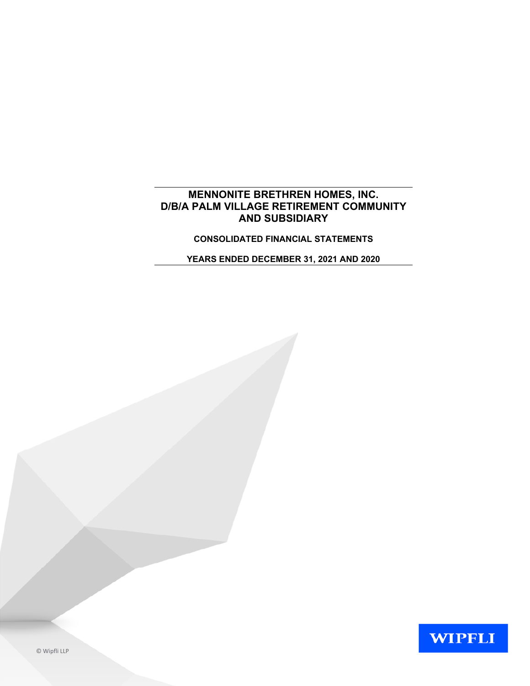# **MENNONITE BRETHREN HOMES, INC. D/B/A PALM VILLAGE RETIREMENT COMMUNITY AND SUBSIDIARY**

**CONSOLIDATED FINANCIAL STATEMENTS**

**YEARS ENDED DECEMBER 31, 2021 AND 2020**

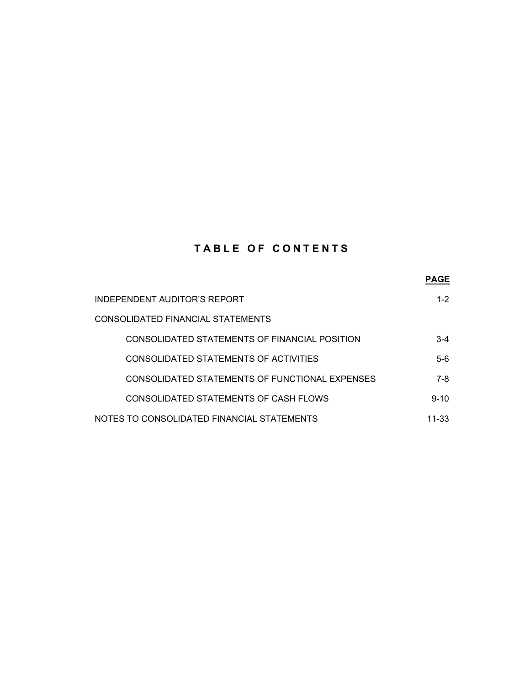# **TABLE OF CONTENTS**

|                                                | <b>PAGE</b> |
|------------------------------------------------|-------------|
| INDEPENDENT AUDITOR'S REPORT                   | $1 - 2$     |
| CONSOLIDATED FINANCIAL STATEMENTS              |             |
| CONSOLIDATED STATEMENTS OF FINANCIAL POSITION  | $3-4$       |
| CONSOLIDATED STATEMENTS OF ACTIVITIES          | $5-6$       |
| CONSOLIDATED STATEMENTS OF FUNCTIONAL EXPENSES | 7-8         |
| CONSOLIDATED STATEMENTS OF CASH FLOWS          | $9 - 10$    |
| NOTES TO CONSOLIDATED FINANCIAL STATEMENTS     | 11-33       |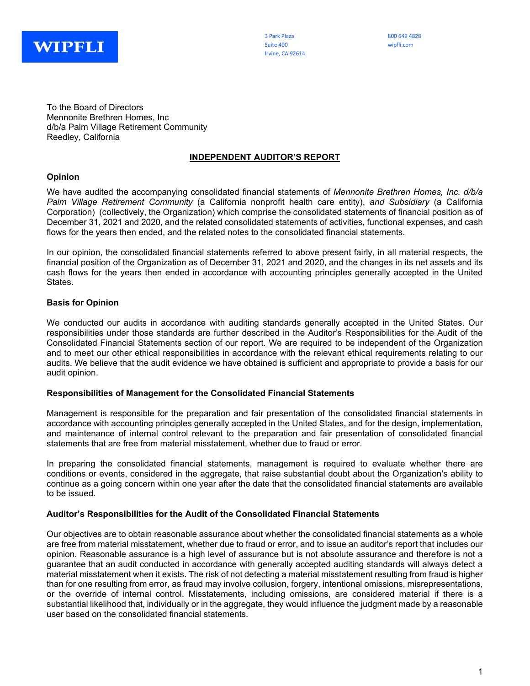

3 Park Plaza 800 649 4828 Suite 400 wipfli.com Irvine, CA 92614

To the Board of Directors Mennonite Brethren Homes, Inc d/b/a Palm Village Retirement Community Reedley, California

#### **INDEPENDENT AUDITOR'S REPORT**

#### **Opinion**

We have audited the accompanying consolidated financial statements of *Mennonite Brethren Homes, Inc. d/b/a Palm Village Retirement Community* (a California nonprofit health care entity), *and Subsidiary* (a California Corporation) (collectively, the Organization) which comprise the consolidated statements of financial position as of December 31, 2021 and 2020, and the related consolidated statements of activities, functional expenses, and cash flows for the years then ended, and the related notes to the consolidated financial statements.

In our opinion, the consolidated financial statements referred to above present fairly, in all material respects, the financial position of the Organization as of December 31, 2021 and 2020, and the changes in its net assets and its cash flows for the years then ended in accordance with accounting principles generally accepted in the United States.

#### **Basis for Opinion**

We conducted our audits in accordance with auditing standards generally accepted in the United States. Our responsibilities under those standards are further described in the Auditor's Responsibilities for the Audit of the Consolidated Financial Statements section of our report. We are required to be independent of the Organization and to meet our other ethical responsibilities in accordance with the relevant ethical requirements relating to our audits. We believe that the audit evidence we have obtained is sufficient and appropriate to provide a basis for our audit opinion.

#### **Responsibilities of Management for the Consolidated Financial Statements**

Management is responsible for the preparation and fair presentation of the consolidated financial statements in accordance with accounting principles generally accepted in the United States, and for the design, implementation, and maintenance of internal control relevant to the preparation and fair presentation of consolidated financial statements that are free from material misstatement, whether due to fraud or error.

In preparing the consolidated financial statements, management is required to evaluate whether there are conditions or events, considered in the aggregate, that raise substantial doubt about the Organization's ability to continue as a going concern within one year after the date that the consolidated financial statements are available to be issued.

#### **Auditor's Responsibilities for the Audit of the Consolidated Financial Statements**

Our objectives are to obtain reasonable assurance about whether the consolidated financial statements as a whole are free from material misstatement, whether due to fraud or error, and to issue an auditor's report that includes our opinion. Reasonable assurance is a high level of assurance but is not absolute assurance and therefore is not a guarantee that an audit conducted in accordance with generally accepted auditing standards will always detect a material misstatement when it exists. The risk of not detecting a material misstatement resulting from fraud is higher than for one resulting from error, as fraud may involve collusion, forgery, intentional omissions, misrepresentations, or the override of internal control. Misstatements, including omissions, are considered material if there is a substantial likelihood that, individually or in the aggregate, they would influence the judgment made by a reasonable user based on the consolidated financial statements.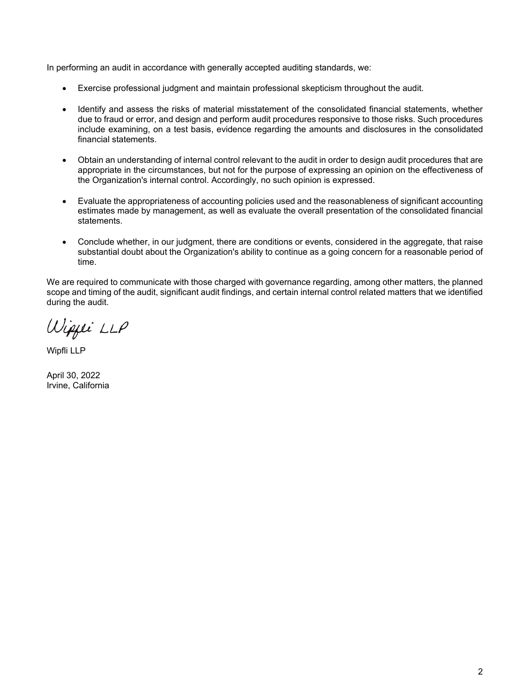In performing an audit in accordance with generally accepted auditing standards, we:

- Exercise professional judgment and maintain professional skepticism throughout the audit.
- Identify and assess the risks of material misstatement of the consolidated financial statements, whether due to fraud or error, and design and perform audit procedures responsive to those risks. Such procedures include examining, on a test basis, evidence regarding the amounts and disclosures in the consolidated financial statements.
- Obtain an understanding of internal control relevant to the audit in order to design audit procedures that are appropriate in the circumstances, but not for the purpose of expressing an opinion on the effectiveness of the Organization's internal control. Accordingly, no such opinion is expressed.
- Evaluate the appropriateness of accounting policies used and the reasonableness of significant accounting estimates made by management, as well as evaluate the overall presentation of the consolidated financial statements.
- Conclude whether, in our judgment, there are conditions or events, considered in the aggregate, that raise substantial doubt about the Organization's ability to continue as a going concern for a reasonable period of time.

We are required to communicate with those charged with governance regarding, among other matters, the planned scope and timing of the audit, significant audit findings, and certain internal control related matters that we identified during the audit.

Wippei LLP

Wipfli LLP

April 30, 2022 Irvine, California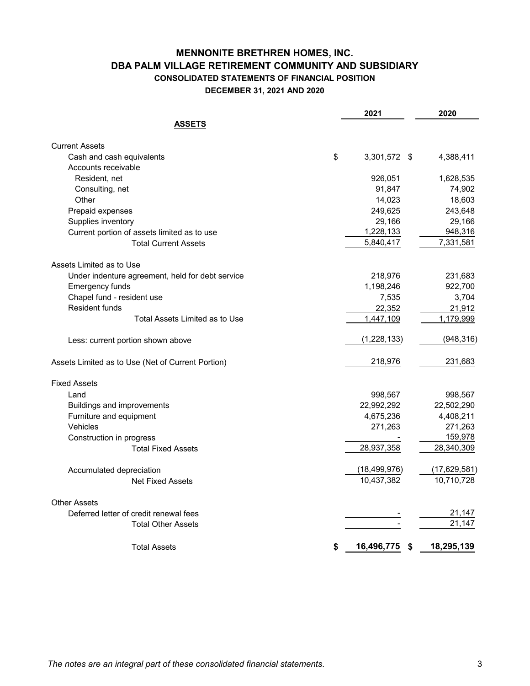# **MENNONITE BRETHREN HOMES, INC. DBA PALM VILLAGE RETIREMENT COMMUNITY AND SUBSIDIARY CONSOLIDATED STATEMENTS OF FINANCIAL POSITION DECEMBER 31, 2021 AND 2020**

|                                                   | 2021             |      | 2020         |
|---------------------------------------------------|------------------|------|--------------|
| <b>ASSETS</b>                                     |                  |      |              |
| <b>Current Assets</b>                             |                  |      |              |
| Cash and cash equivalents                         | \$<br>3,301,572  | - \$ | 4,388,411    |
| Accounts receivable                               |                  |      |              |
| Resident, net                                     | 926,051          |      | 1,628,535    |
| Consulting, net                                   | 91,847           |      | 74,902       |
| Other                                             | 14,023           |      | 18,603       |
| Prepaid expenses                                  | 249,625          |      | 243,648      |
| Supplies inventory                                | 29,166           |      | 29,166       |
| Current portion of assets limited as to use       | 1,228,133        |      | 948,316      |
| <b>Total Current Assets</b>                       | 5,840,417        |      | 7,331,581    |
| Assets Limited as to Use                          |                  |      |              |
| Under indenture agreement, held for debt service  | 218,976          |      | 231,683      |
| <b>Emergency funds</b>                            | 1,198,246        |      | 922,700      |
| Chapel fund - resident use                        | 7,535            |      | 3,704        |
| <b>Resident funds</b>                             | 22,352           |      | 21,912       |
| Total Assets Limited as to Use                    | 1,447,109        |      | 1,179,999    |
| Less: current portion shown above                 | (1, 228, 133)    |      | (948, 316)   |
| Assets Limited as to Use (Net of Current Portion) | 218,976          |      | 231,683      |
| <b>Fixed Assets</b>                               |                  |      |              |
| Land                                              | 998,567          |      | 998,567      |
| <b>Buildings and improvements</b>                 | 22,992,292       |      | 22,502,290   |
| Furniture and equipment                           | 4,675,236        |      | 4,408,211    |
| Vehicles                                          | 271,263          |      | 271,263      |
| Construction in progress                          |                  |      | 159,978      |
| <b>Total Fixed Assets</b>                         | 28,937,358       |      | 28,340,309   |
| Accumulated depreciation                          | (18, 499, 976)   |      | (17,629,581) |
| <b>Net Fixed Assets</b>                           | 10,437,382       |      | 10,710,728   |
| <b>Other Assets</b>                               |                  |      |              |
| Deferred letter of credit renewal fees            |                  |      | 21,147       |
| <b>Total Other Assets</b>                         |                  |      | 21,147       |
| <b>Total Assets</b>                               | \$<br>16,496,775 | \$   | 18,295,139   |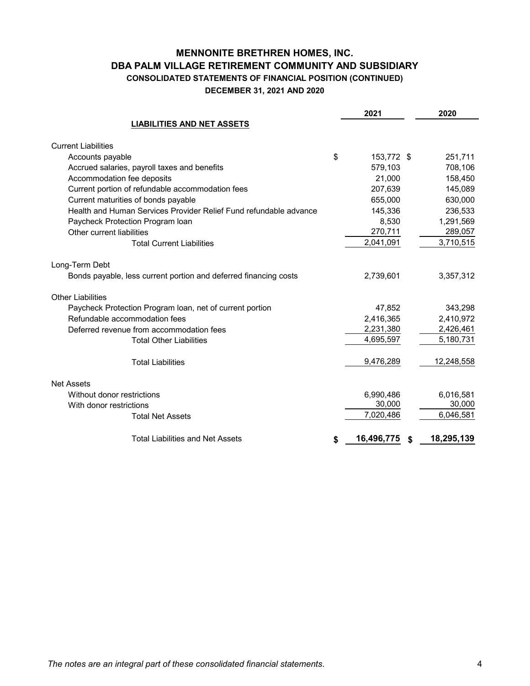# **MENNONITE BRETHREN HOMES, INC. DBA PALM VILLAGE RETIREMENT COMMUNITY AND SUBSIDIARY CONSOLIDATED STATEMENTS OF FINANCIAL POSITION (CONTINUED) DECEMBER 31, 2021 AND 2020**

|                                                                   | 2021             | 2020             |
|-------------------------------------------------------------------|------------------|------------------|
| <b>LIABILITIES AND NET ASSETS</b>                                 |                  |                  |
| <b>Current Liabilities</b>                                        |                  |                  |
| Accounts payable                                                  | \$<br>153,772 \$ | 251,711          |
| Accrued salaries, payroll taxes and benefits                      | 579,103          | 708,106          |
| Accommodation fee deposits                                        | 21,000           | 158,450          |
| Current portion of refundable accommodation fees                  | 207,639          | 145,089          |
| Current maturities of bonds payable                               | 655,000          | 630,000          |
| Health and Human Services Provider Relief Fund refundable advance | 145,336          | 236,533          |
| Paycheck Protection Program Ioan                                  | 8,530            | 1,291,569        |
| Other current liabilities                                         | 270,711          | 289,057          |
| <b>Total Current Liabilities</b>                                  | 2,041,091        | 3,710,515        |
| Long-Term Debt                                                    |                  |                  |
| Bonds payable, less current portion and deferred financing costs  | 2,739,601        | 3,357,312        |
| <b>Other Liabilities</b>                                          |                  |                  |
| Paycheck Protection Program Ioan, net of current portion          | 47,852           | 343,298          |
| Refundable accommodation fees                                     | 2,416,365        | 2,410,972        |
| Deferred revenue from accommodation fees                          | 2,231,380        | 2,426,461        |
| <b>Total Other Liabilities</b>                                    | 4,695,597        | 5,180,731        |
| <b>Total Liabilities</b>                                          | 9,476,289        | 12,248,558       |
| <b>Net Assets</b>                                                 |                  |                  |
| Without donor restrictions                                        | 6,990,486        | 6,016,581        |
| With donor restrictions                                           | 30,000           | 30,000           |
| <b>Total Net Assets</b>                                           | 7,020,486        | 6,046,581        |
| <b>Total Liabilities and Net Assets</b>                           | \$<br>16,496,775 | \$<br>18,295,139 |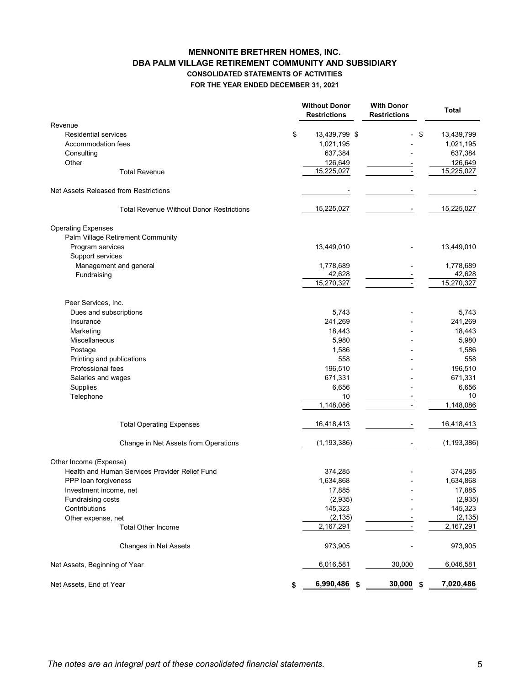# **MENNONITE BRETHREN HOMES, INC. DBA PALM VILLAGE RETIREMENT COMMUNITY AND SUBSIDIARY CONSOLIDATED STATEMENTS OF ACTIVITIES FOR THE YEAR ENDED DECEMBER 31, 2021**

|                                                 | <b>Without Donor</b><br><b>Restrictions</b> | <b>With Donor</b><br><b>Restrictions</b> | <b>Total</b>  |
|-------------------------------------------------|---------------------------------------------|------------------------------------------|---------------|
| Revenue                                         |                                             |                                          |               |
| <b>Residential services</b>                     | \$<br>13,439,799 \$                         | \$                                       | 13,439,799    |
| Accommodation fees                              | 1,021,195                                   |                                          | 1,021,195     |
| Consulting                                      | 637,384                                     |                                          | 637,384       |
| Other                                           | 126,649                                     |                                          | 126,649       |
| <b>Total Revenue</b>                            | 15,225,027                                  |                                          | 15,225,027    |
| Net Assets Released from Restrictions           |                                             |                                          |               |
| <b>Total Revenue Without Donor Restrictions</b> | 15,225,027                                  |                                          | 15,225,027    |
| <b>Operating Expenses</b>                       |                                             |                                          |               |
| Palm Village Retirement Community               |                                             |                                          |               |
| Program services                                | 13,449,010                                  |                                          | 13,449,010    |
| Support services                                |                                             |                                          |               |
| Management and general                          | 1,778,689                                   |                                          | 1,778,689     |
| Fundraising                                     | 42,628                                      |                                          | 42,628        |
|                                                 | 15,270,327                                  |                                          | 15,270,327    |
| Peer Services, Inc.                             |                                             |                                          |               |
| Dues and subscriptions                          | 5,743                                       |                                          | 5,743         |
| Insurance                                       | 241,269                                     |                                          | 241,269       |
| Marketing                                       | 18,443                                      |                                          | 18,443        |
| Miscellaneous                                   | 5,980                                       |                                          | 5,980         |
| Postage                                         | 1,586                                       |                                          | 1,586         |
| Printing and publications                       | 558                                         |                                          | 558           |
| Professional fees                               | 196,510                                     |                                          | 196,510       |
| Salaries and wages                              | 671,331                                     |                                          | 671,331       |
| Supplies                                        | 6,656                                       |                                          | 6,656         |
| Telephone                                       | 10                                          |                                          | 10            |
|                                                 | 1,148,086                                   |                                          | 1,148,086     |
| <b>Total Operating Expenses</b>                 | 16,418,413                                  |                                          | 16,418,413    |
| Change in Net Assets from Operations            | (1, 193, 386)                               |                                          | (1, 193, 386) |
| Other Income (Expense)                          |                                             |                                          |               |
| Health and Human Services Provider Relief Fund  | 374,285                                     |                                          | 374,285       |
| PPP loan forgiveness                            | 1,634,868                                   |                                          | 1,634,868     |
| Investment income, net                          | 17,885                                      |                                          | 17,885        |
| Fundraising costs                               | (2,935)                                     |                                          | (2,935)       |
| Contributions                                   | 145,323                                     |                                          | 145,323       |
| Other expense, net                              | (2, 135)                                    |                                          | (2, 135)      |
| <b>Total Other Income</b>                       | 2,167,291                                   |                                          | 2,167,291     |
| Changes in Net Assets                           | 973,905                                     |                                          | 973,905       |
| Net Assets, Beginning of Year                   | 6,016,581                                   | 30,000                                   | 6,046,581     |
| Net Assets, End of Year                         | \$<br>6,990,486<br>\$                       | 30,000<br>\$                             | 7,020,486     |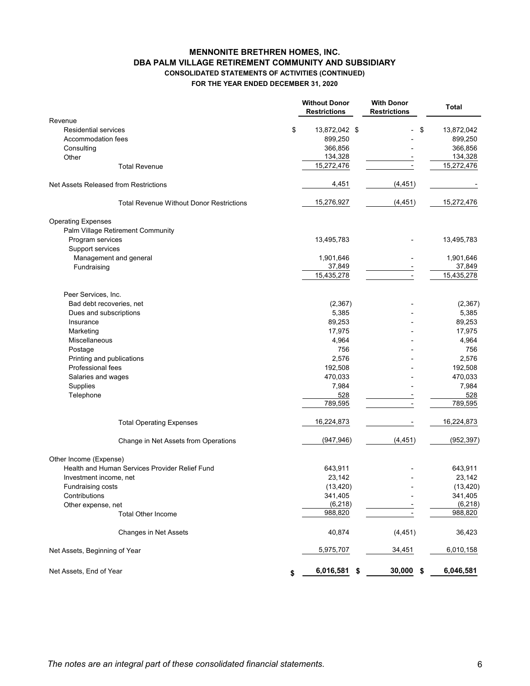# **MENNONITE BRETHREN HOMES, INC. DBA PALM VILLAGE RETIREMENT COMMUNITY AND SUBSIDIARY CONSOLIDATED STATEMENTS OF ACTIVITIES (CONTINUED) FOR THE YEAR ENDED DECEMBER 31, 2020**

|                                                 |    | <b>Without Donor</b><br><b>Restrictions</b> | <b>With Donor</b><br><b>Restrictions</b> | <b>Total</b>       |
|-------------------------------------------------|----|---------------------------------------------|------------------------------------------|--------------------|
| Revenue                                         |    |                                             |                                          |                    |
| <b>Residential services</b>                     | \$ | 13,872,042 \$                               |                                          | \$<br>13,872,042   |
| Accommodation fees                              |    | 899,250                                     |                                          | 899,250            |
| Consulting                                      |    | 366,856                                     |                                          | 366,856<br>134,328 |
| Other<br><b>Total Revenue</b>                   |    | 134,328<br>15,272,476                       |                                          | 15,272,476         |
|                                                 |    |                                             |                                          |                    |
| Net Assets Released from Restrictions           |    | 4,451                                       | (4, 451)                                 |                    |
| <b>Total Revenue Without Donor Restrictions</b> |    | 15,276,927                                  | (4, 451)                                 | 15,272,476         |
| <b>Operating Expenses</b>                       |    |                                             |                                          |                    |
| Palm Village Retirement Community               |    |                                             |                                          |                    |
| Program services                                |    | 13,495,783                                  |                                          | 13,495,783         |
| Support services                                |    |                                             |                                          |                    |
| Management and general                          |    | 1,901,646                                   |                                          | 1,901,646          |
| Fundraising                                     |    | 37,849                                      |                                          | 37,849             |
|                                                 |    | 15,435,278                                  |                                          | 15,435,278         |
| Peer Services, Inc.                             |    |                                             |                                          |                    |
| Bad debt recoveries, net                        |    | (2, 367)                                    |                                          | (2, 367)           |
| Dues and subscriptions                          |    | 5,385                                       |                                          | 5,385              |
| Insurance                                       |    | 89,253                                      |                                          | 89,253             |
| Marketing                                       |    | 17,975                                      |                                          | 17,975             |
| Miscellaneous                                   |    | 4,964                                       |                                          | 4,964              |
| Postage                                         |    | 756                                         |                                          | 756                |
| Printing and publications                       |    | 2,576                                       |                                          | 2,576              |
| <b>Professional fees</b>                        |    | 192,508                                     |                                          | 192,508            |
| Salaries and wages                              |    | 470,033                                     |                                          | 470,033            |
| Supplies                                        |    | 7,984                                       |                                          | 7,984              |
| Telephone                                       |    | 528                                         |                                          | 528                |
|                                                 |    | 789,595                                     |                                          | 789,595            |
| <b>Total Operating Expenses</b>                 |    | 16,224,873                                  |                                          | 16,224,873         |
| Change in Net Assets from Operations            |    | (947, 946)                                  | (4, 451)                                 | (952, 397)         |
| Other Income (Expense)                          |    |                                             |                                          |                    |
| Health and Human Services Provider Relief Fund  |    | 643,911                                     |                                          | 643,911            |
| Investment income, net                          |    | 23,142                                      |                                          | 23,142             |
| Fundraising costs                               |    | (13, 420)                                   |                                          | (13, 420)          |
| Contributions                                   |    | 341,405                                     |                                          | 341,405            |
| Other expense, net                              |    | (6, 218)                                    |                                          | (6, 218)           |
| <b>Total Other Income</b>                       |    | 988,820                                     |                                          | 988,820            |
| <b>Changes in Net Assets</b>                    |    | 40,874                                      | (4, 451)                                 | 36,423             |
| Net Assets, Beginning of Year                   |    | 5,975,707                                   | 34,451                                   | 6,010,158          |
| Net Assets, End of Year                         | S  | 6,016,581                                   | \$<br>$30,000$ \$                        | 6,046,581          |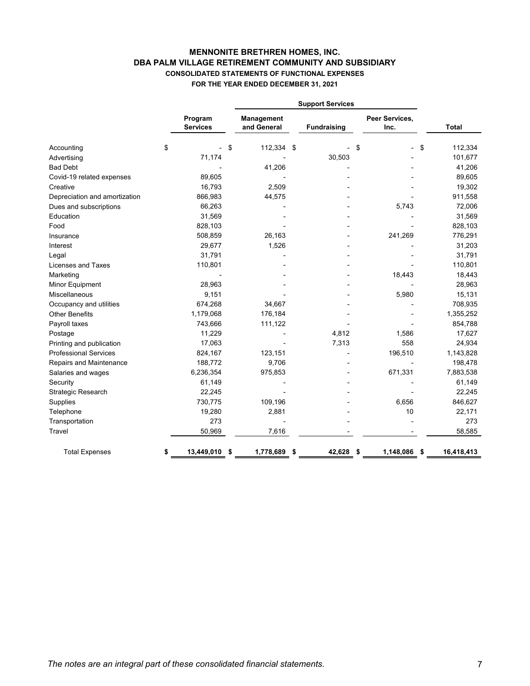# **MENNONITE BRETHREN HOMES, INC. DBA PALM VILLAGE RETIREMENT COMMUNITY AND SUBSIDIARY CONSOLIDATED STATEMENTS OF FUNCTIONAL EXPENSES FOR THE YEAR ENDED DECEMBER 31, 2021**

|                               | <b>Support Services</b>    |    |                                  |  |                    |    |                        |               |
|-------------------------------|----------------------------|----|----------------------------------|--|--------------------|----|------------------------|---------------|
|                               | Program<br><b>Services</b> |    | <b>Management</b><br>and General |  | <b>Fundraising</b> |    | Peer Services,<br>Inc. | <b>Total</b>  |
| Accounting                    | \$                         | \$ | 112,334 \$                       |  |                    | \$ |                        | \$<br>112,334 |
| Advertising                   | 71,174                     |    |                                  |  | 30,503             |    |                        | 101,677       |
| <b>Bad Debt</b>               |                            |    | 41,206                           |  |                    |    |                        | 41,206        |
| Covid-19 related expenses     | 89,605                     |    |                                  |  |                    |    |                        | 89,605        |
| Creative                      | 16,793                     |    | 2,509                            |  |                    |    |                        | 19,302        |
| Depreciation and amortization | 866,983                    |    | 44,575                           |  |                    |    |                        | 911,558       |
| Dues and subscriptions        | 66,263                     |    |                                  |  |                    |    | 5,743                  | 72,006        |
| Education                     | 31,569                     |    |                                  |  |                    |    |                        | 31,569        |
| Food                          | 828,103                    |    |                                  |  |                    |    |                        | 828,103       |
| Insurance                     | 508,859                    |    | 26,163                           |  |                    |    | 241,269                | 776,291       |
| Interest                      | 29,677                     |    | 1,526                            |  |                    |    |                        | 31,203        |
| Legal                         | 31,791                     |    |                                  |  |                    |    |                        | 31,791        |
| Licenses and Taxes            | 110,801                    |    |                                  |  |                    |    |                        | 110,801       |
| Marketing                     |                            |    |                                  |  |                    |    | 18,443                 | 18,443        |
| Minor Equipment               | 28,963                     |    |                                  |  |                    |    |                        | 28,963        |
| Miscellaneous                 | 9,151                      |    |                                  |  |                    |    | 5,980                  | 15,131        |
| Occupancy and utilities       | 674,268                    |    | 34,667                           |  |                    |    |                        | 708,935       |
| <b>Other Benefits</b>         | 1,179,068                  |    | 176,184                          |  |                    |    |                        | 1,355,252     |
| Payroll taxes                 | 743,666                    |    | 111,122                          |  |                    |    |                        | 854,788       |
| Postage                       | 11,229                     |    |                                  |  | 4,812              |    | 1,586                  | 17,627        |
| Printing and publication      | 17,063                     |    |                                  |  | 7,313              |    | 558                    | 24,934        |
| <b>Professional Services</b>  | 824,167                    |    | 123,151                          |  |                    |    | 196,510                | 1,143,828     |
| Repairs and Maintenance       | 188,772                    |    | 9,706                            |  |                    |    |                        | 198,478       |
| Salaries and wages            | 6,236,354                  |    | 975,853                          |  |                    |    | 671,331                | 7,883,538     |
| Security                      | 61,149                     |    |                                  |  |                    |    |                        | 61,149        |
| Strategic Research            | 22,245                     |    |                                  |  |                    |    |                        | 22,245        |
| Supplies                      | 730,775                    |    | 109,196                          |  |                    |    | 6,656                  | 846,627       |
| Telephone                     | 19,280                     |    | 2,881                            |  |                    |    | 10                     | 22,171        |
| Transportation                | 273                        |    |                                  |  |                    |    |                        | 273           |
| Travel                        | 50,969                     |    | 7,616                            |  |                    |    |                        | 58,585        |
| <b>Total Expenses</b>         | \$<br>13,449,010 \$        |    | 1,778,689 \$                     |  | 42,628 \$          |    | 1,148,086 \$           | 16,418,413    |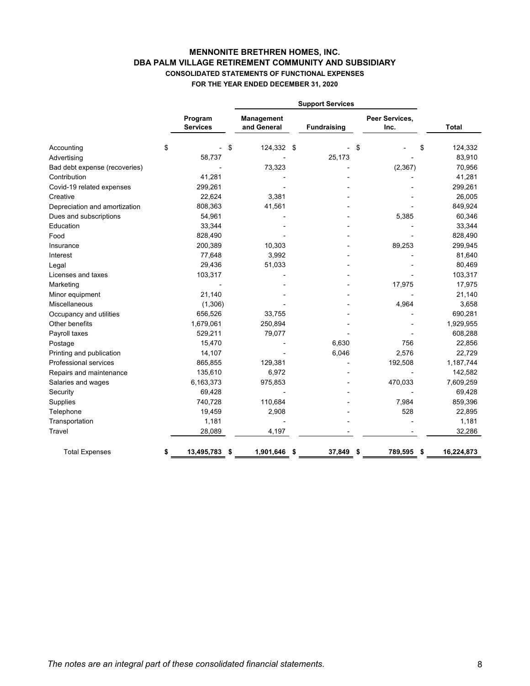# **MENNONITE BRETHREN HOMES, INC. CONSOLIDATED STATEMENTS OF FUNCTIONAL EXPENSES FOR THE YEAR ENDED DECEMBER 31, 2020 DBA PALM VILLAGE RETIREMENT COMMUNITY AND SUBSIDIARY**

|                               |    |                            | <b>Support Services</b>          |  |                    |    |                        |    |              |
|-------------------------------|----|----------------------------|----------------------------------|--|--------------------|----|------------------------|----|--------------|
|                               |    | Program<br><b>Services</b> | <b>Management</b><br>and General |  | <b>Fundraising</b> |    | Peer Services,<br>Inc. |    | <b>Total</b> |
| Accounting                    | \$ | \$                         | 124,332 \$                       |  |                    | \$ |                        | \$ | 124,332      |
| Advertising                   |    | 58,737                     |                                  |  | 25,173             |    |                        |    | 83,910       |
| Bad debt expense (recoveries) |    |                            | 73,323                           |  |                    |    | (2, 367)               |    | 70,956       |
| Contribution                  |    | 41,281                     |                                  |  |                    |    |                        |    | 41,281       |
| Covid-19 related expenses     |    | 299,261                    |                                  |  |                    |    |                        |    | 299,261      |
| Creative                      |    | 22,624                     | 3,381                            |  |                    |    |                        |    | 26,005       |
| Depreciation and amortization |    | 808,363                    | 41,561                           |  |                    |    |                        |    | 849,924      |
| Dues and subscriptions        |    | 54,961                     |                                  |  |                    |    | 5,385                  |    | 60,346       |
| Education                     |    | 33,344                     |                                  |  |                    |    |                        |    | 33,344       |
| Food                          |    | 828,490                    |                                  |  |                    |    |                        |    | 828,490      |
| Insurance                     |    | 200,389                    | 10,303                           |  |                    |    | 89,253                 |    | 299,945      |
| Interest                      |    | 77,648                     | 3,992                            |  |                    |    |                        |    | 81,640       |
| Legal                         |    | 29,436                     | 51,033                           |  |                    |    |                        |    | 80,469       |
| Licenses and taxes            |    | 103,317                    |                                  |  |                    |    |                        |    | 103,317      |
| Marketing                     |    |                            |                                  |  |                    |    | 17,975                 |    | 17,975       |
| Minor equipment               |    | 21,140                     |                                  |  |                    |    |                        |    | 21,140       |
| Miscellaneous                 |    | (1,306)                    |                                  |  |                    |    | 4,964                  |    | 3,658        |
| Occupancy and utilities       |    | 656,526                    | 33,755                           |  |                    |    |                        |    | 690,281      |
| Other benefits                |    | 1,679,061                  | 250,894                          |  |                    |    |                        |    | 1,929,955    |
| Payroll taxes                 |    | 529,211                    | 79,077                           |  |                    |    |                        |    | 608,288      |
| Postage                       |    | 15,470                     |                                  |  | 6,630              |    | 756                    |    | 22,856       |
| Printing and publication      |    | 14,107                     |                                  |  | 6,046              |    | 2,576                  |    | 22,729       |
| Professional services         |    | 865,855                    | 129,381                          |  |                    |    | 192,508                |    | 1,187,744    |
| Repairs and maintenance       |    | 135,610                    | 6,972                            |  |                    |    |                        |    | 142,582      |
| Salaries and wages            |    | 6,163,373                  | 975,853                          |  |                    |    | 470,033                |    | 7,609,259    |
| Security                      |    | 69,428                     |                                  |  |                    |    |                        |    | 69,428       |
| Supplies                      |    | 740,728                    | 110,684                          |  |                    |    | 7,984                  |    | 859,396      |
| Telephone                     |    | 19,459                     | 2,908                            |  |                    |    | 528                    |    | 22,895       |
| Transportation                |    | 1,181                      |                                  |  |                    |    |                        |    | 1,181        |
| Travel                        |    | 28,089                     | 4,197                            |  |                    |    |                        |    | 32,286       |
| <b>Total Expenses</b>         | S. | 13,495,783<br>\$           | 1,901,646 \$                     |  | 37,849             | \$ | 789,595                | \$ | 16,224,873   |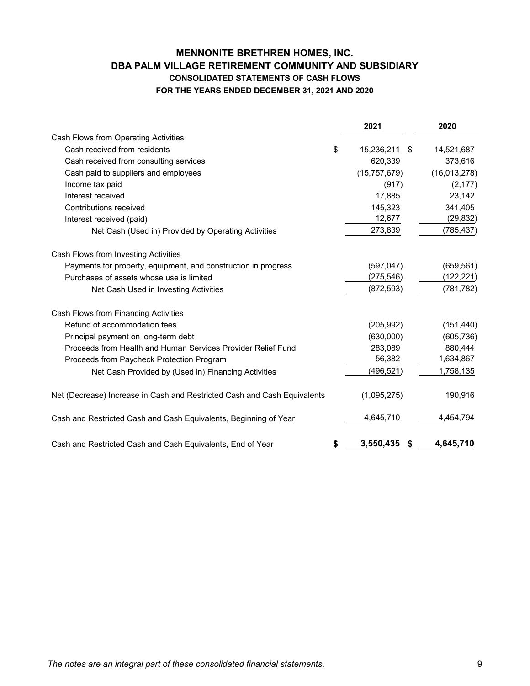# **MENNONITE BRETHREN HOMES, INC. DBA PALM VILLAGE RETIREMENT COMMUNITY AND SUBSIDIARY CONSOLIDATED STATEMENTS OF CASH FLOWS FOR THE YEARS ENDED DECEMBER 31, 2021 AND 2020**

|                                                                          | 2021                   | 2020         |
|--------------------------------------------------------------------------|------------------------|--------------|
| Cash Flows from Operating Activities                                     |                        |              |
| Cash received from residents                                             | \$<br>15,236,211<br>\$ | 14,521,687   |
| Cash received from consulting services                                   | 620,339                | 373,616      |
| Cash paid to suppliers and employees                                     | (15, 757, 679)         | (16,013,278) |
| Income tax paid                                                          | (917)                  | (2, 177)     |
| Interest received                                                        | 17,885                 | 23,142       |
| Contributions received                                                   | 145,323                | 341,405      |
| Interest received (paid)                                                 | 12,677                 | (29, 832)    |
| Net Cash (Used in) Provided by Operating Activities                      | 273,839                | (785,437)    |
| Cash Flows from Investing Activities                                     |                        |              |
| Payments for property, equipment, and construction in progress           | (597, 047)             | (659, 561)   |
| Purchases of assets whose use is limited                                 | (275, 546)             | (122, 221)   |
| Net Cash Used in Investing Activities                                    | (872, 593)             | (781, 782)   |
| Cash Flows from Financing Activities                                     |                        |              |
| Refund of accommodation fees                                             | (205, 992)             | (151, 440)   |
| Principal payment on long-term debt                                      | (630,000)              | (605, 736)   |
| Proceeds from Health and Human Services Provider Relief Fund             | 283,089                | 880,444      |
| Proceeds from Paycheck Protection Program                                | 56,382                 | 1,634,867    |
| Net Cash Provided by (Used in) Financing Activities                      | (496, 521)             | 1,758,135    |
| Net (Decrease) Increase in Cash and Restricted Cash and Cash Equivalents | (1,095,275)            | 190,916      |
| Cash and Restricted Cash and Cash Equivalents, Beginning of Year         | 4,645,710              | 4,454,794    |
| Cash and Restricted Cash and Cash Equivalents, End of Year               | \$<br>3,550,435        | 4,645,710    |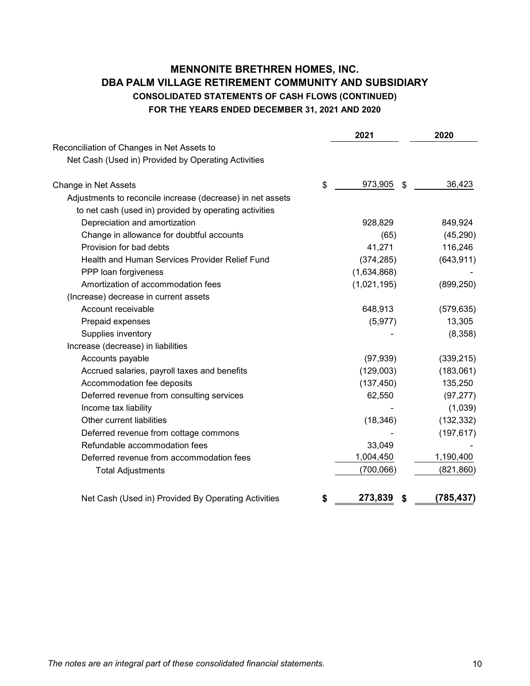# **MENNONITE BRETHREN HOMES, INC. DBA PALM VILLAGE RETIREMENT COMMUNITY AND SUBSIDIARY CONSOLIDATED STATEMENTS OF CASH FLOWS (CONTINUED) FOR THE YEARS ENDED DECEMBER 31, 2021 AND 2020**

|                                                            | 2021                | 2020       |
|------------------------------------------------------------|---------------------|------------|
| Reconciliation of Changes in Net Assets to                 |                     |            |
| Net Cash (Used in) Provided by Operating Activities        |                     |            |
| Change in Net Assets                                       | \$<br>973,905<br>\$ | 36,423     |
| Adjustments to reconcile increase (decrease) in net assets |                     |            |
| to net cash (used in) provided by operating activities     |                     |            |
| Depreciation and amortization                              | 928,829             | 849,924    |
| Change in allowance for doubtful accounts                  | (65)                | (45, 290)  |
| Provision for bad debts                                    | 41,271              | 116,246    |
| Health and Human Services Provider Relief Fund             | (374, 285)          | (643, 911) |
| PPP loan forgiveness                                       | (1,634,868)         |            |
| Amortization of accommodation fees                         | (1,021,195)         | (899, 250) |
| (Increase) decrease in current assets                      |                     |            |
| Account receivable                                         | 648,913             | (579, 635) |
| Prepaid expenses                                           | (5, 977)            | 13,305     |
| Supplies inventory                                         |                     | (8,358)    |
| Increase (decrease) in liabilities                         |                     |            |
| Accounts payable                                           | (97, 939)           | (339, 215) |
| Accrued salaries, payroll taxes and benefits               | (129,003)           | (183,061)  |
| Accommodation fee deposits                                 | (137, 450)          | 135,250    |
| Deferred revenue from consulting services                  | 62,550              | (97, 277)  |
| Income tax liability                                       |                     | (1,039)    |
| Other current liabilities                                  | (18, 346)           | (132, 332) |
| Deferred revenue from cottage commons                      |                     | (197, 617) |
| Refundable accommodation fees                              | 33,049              |            |
| Deferred revenue from accommodation fees                   | 1,004,450           | 1,190,400  |
| <b>Total Adjustments</b>                                   | (700, 066)          | (821, 860) |
| Net Cash (Used in) Provided By Operating Activities        | \$<br>273,839<br>\$ | (785, 437) |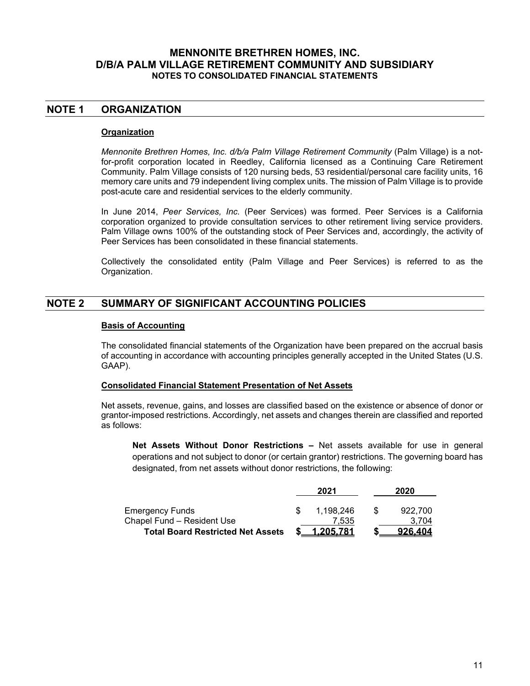## **NOTE 1 ORGANIZATION**

#### **Organization**

*Mennonite Brethren Homes, Inc. d/b/a Palm Village Retirement Community* (Palm Village) is a notfor-profit corporation located in Reedley, California licensed as a Continuing Care Retirement Community. Palm Village consists of 120 nursing beds, 53 residential/personal care facility units, 16 memory care units and 79 independent living complex units. The mission of Palm Village is to provide post-acute care and residential services to the elderly community.

In June 2014, *Peer Services, Inc.* (Peer Services) was formed. Peer Services is a California corporation organized to provide consultation services to other retirement living service providers. Palm Village owns 100% of the outstanding stock of Peer Services and, accordingly, the activity of Peer Services has been consolidated in these financial statements.

Collectively the consolidated entity (Palm Village and Peer Services) is referred to as the Organization.

# **NOTE 2 SUMMARY OF SIGNIFICANT ACCOUNTING POLICIES**

#### **Basis of Accounting**

The consolidated financial statements of the Organization have been prepared on the accrual basis of accounting in accordance with accounting principles generally accepted in the United States (U.S. GAAP).

#### **Consolidated Financial Statement Presentation of Net Assets**

Net assets, revenue, gains, and losses are classified based on the existence or absence of donor or grantor-imposed restrictions. Accordingly, net assets and changes therein are classified and reported as follows:

**Net Assets Without Donor Restrictions –** Net assets available for use in general operations and not subject to donor (or certain grantor) restrictions. The governing board has designated, from net assets without donor restrictions, the following:

|                                          | 2021      |     | 2020    |
|------------------------------------------|-----------|-----|---------|
| <b>Emergency Funds</b>                   | 1,198,246 | \$. | 922.700 |
| Chapel Fund - Resident Use               | 7.535     |     | 3.704   |
| <b>Total Board Restricted Net Assets</b> | 1.205.781 |     | 926.404 |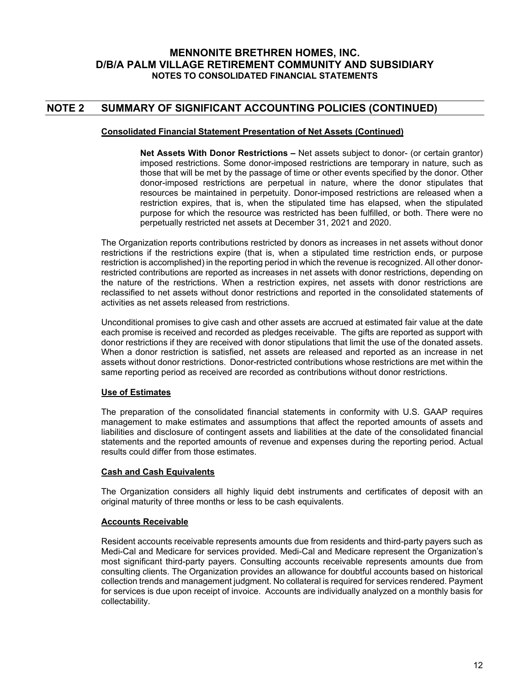# **NOTE 2 SUMMARY OF SIGNIFICANT ACCOUNTING POLICIES (CONTINUED)**

#### **Consolidated Financial Statement Presentation of Net Assets (Continued)**

**Net Assets With Donor Restrictions –** Net assets subject to donor- (or certain grantor) imposed restrictions. Some donor-imposed restrictions are temporary in nature, such as those that will be met by the passage of time or other events specified by the donor. Other donor-imposed restrictions are perpetual in nature, where the donor stipulates that resources be maintained in perpetuity. Donor-imposed restrictions are released when a restriction expires, that is, when the stipulated time has elapsed, when the stipulated purpose for which the resource was restricted has been fulfilled, or both. There were no perpetually restricted net assets at December 31, 2021 and 2020.

The Organization reports contributions restricted by donors as increases in net assets without donor restrictions if the restrictions expire (that is, when a stipulated time restriction ends, or purpose restriction is accomplished) in the reporting period in which the revenue is recognized. All other donorrestricted contributions are reported as increases in net assets with donor restrictions, depending on the nature of the restrictions. When a restriction expires, net assets with donor restrictions are reclassified to net assets without donor restrictions and reported in the consolidated statements of activities as net assets released from restrictions.

Unconditional promises to give cash and other assets are accrued at estimated fair value at the date each promise is received and recorded as pledges receivable. The gifts are reported as support with donor restrictions if they are received with donor stipulations that limit the use of the donated assets. When a donor restriction is satisfied, net assets are released and reported as an increase in net assets without donor restrictions. Donor-restricted contributions whose restrictions are met within the same reporting period as received are recorded as contributions without donor restrictions.

#### **Use of Estimates**

The preparation of the consolidated financial statements in conformity with U.S. GAAP requires management to make estimates and assumptions that affect the reported amounts of assets and liabilities and disclosure of contingent assets and liabilities at the date of the consolidated financial statements and the reported amounts of revenue and expenses during the reporting period. Actual results could differ from those estimates.

#### **Cash and Cash Equivalents**

The Organization considers all highly liquid debt instruments and certificates of deposit with an original maturity of three months or less to be cash equivalents.

#### **Accounts Receivable**

Resident accounts receivable represents amounts due from residents and third-party payers such as Medi-Cal and Medicare for services provided. Medi-Cal and Medicare represent the Organization's most significant third-party payers. Consulting accounts receivable represents amounts due from consulting clients. The Organization provides an allowance for doubtful accounts based on historical collection trends and management judgment. No collateral is required for services rendered. Payment for services is due upon receipt of invoice. Accounts are individually analyzed on a monthly basis for collectability.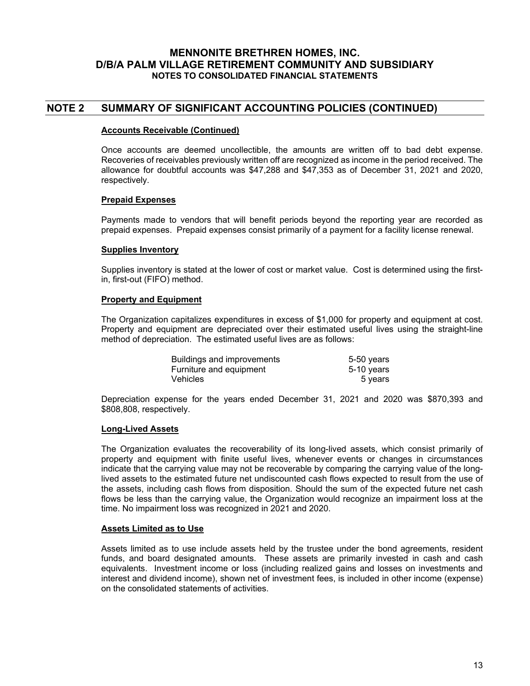### **NOTE 2 SUMMARY OF SIGNIFICANT ACCOUNTING POLICIES (CONTINUED)**

#### **Accounts Receivable (Continued)**

Once accounts are deemed uncollectible, the amounts are written off to bad debt expense. Recoveries of receivables previously written off are recognized as income in the period received. The allowance for doubtful accounts was \$47,288 and \$47,353 as of December 31, 2021 and 2020, respectively.

#### **Prepaid Expenses**

Payments made to vendors that will benefit periods beyond the reporting year are recorded as prepaid expenses. Prepaid expenses consist primarily of a payment for a facility license renewal.

#### **Supplies Inventory**

Supplies inventory is stated at the lower of cost or market value. Cost is determined using the firstin, first-out (FIFO) method.

#### **Property and Equipment**

The Organization capitalizes expenditures in excess of \$1,000 for property and equipment at cost. Property and equipment are depreciated over their estimated useful lives using the straight-line method of depreciation. The estimated useful lives are as follows:

| Buildings and improvements | 5-50 years   |
|----------------------------|--------------|
| Furniture and equipment    | $5-10$ years |
| Vehicles                   | 5 years      |

Depreciation expense for the years ended December 31, 2021 and 2020 was \$870,393 and \$808,808, respectively.

#### **Long-Lived Assets**

The Organization evaluates the recoverability of its long-lived assets, which consist primarily of property and equipment with finite useful lives, whenever events or changes in circumstances indicate that the carrying value may not be recoverable by comparing the carrying value of the longlived assets to the estimated future net undiscounted cash flows expected to result from the use of the assets, including cash flows from disposition. Should the sum of the expected future net cash flows be less than the carrying value, the Organization would recognize an impairment loss at the time. No impairment loss was recognized in 2021 and 2020.

#### **Assets Limited as to Use**

Assets limited as to use include assets held by the trustee under the bond agreements, resident funds, and board designated amounts. These assets are primarily invested in cash and cash equivalents. Investment income or loss (including realized gains and losses on investments and interest and dividend income), shown net of investment fees, is included in other income (expense) on the consolidated statements of activities.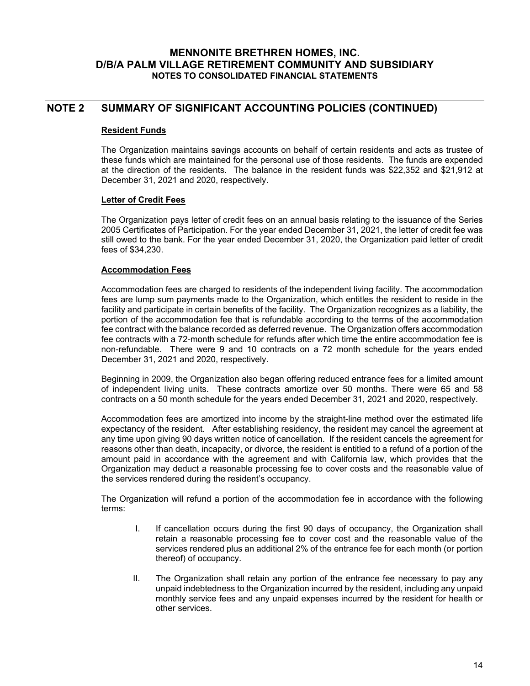# **NOTE 2 SUMMARY OF SIGNIFICANT ACCOUNTING POLICIES (CONTINUED)**

#### **Resident Funds**

The Organization maintains savings accounts on behalf of certain residents and acts as trustee of these funds which are maintained for the personal use of those residents. The funds are expended at the direction of the residents. The balance in the resident funds was \$22,352 and \$21,912 at December 31, 2021 and 2020, respectively.

#### **Letter of Credit Fees**

The Organization pays letter of credit fees on an annual basis relating to the issuance of the Series 2005 Certificates of Participation. For the year ended December 31, 2021, the letter of credit fee was still owed to the bank. For the year ended December 31, 2020, the Organization paid letter of credit fees of \$34,230.

#### **Accommodation Fees**

Accommodation fees are charged to residents of the independent living facility. The accommodation fees are lump sum payments made to the Organization, which entitles the resident to reside in the facility and participate in certain benefits of the facility. The Organization recognizes as a liability, the portion of the accommodation fee that is refundable according to the terms of the accommodation fee contract with the balance recorded as deferred revenue. The Organization offers accommodation fee contracts with a 72-month schedule for refunds after which time the entire accommodation fee is non-refundable. There were 9 and 10 contracts on a 72 month schedule for the years ended December 31, 2021 and 2020, respectively.

Beginning in 2009, the Organization also began offering reduced entrance fees for a limited amount of independent living units. These contracts amortize over 50 months. There were 65 and 58 contracts on a 50 month schedule for the years ended December 31, 2021 and 2020, respectively.

Accommodation fees are amortized into income by the straight-line method over the estimated life expectancy of the resident. After establishing residency, the resident may cancel the agreement at any time upon giving 90 days written notice of cancellation. If the resident cancels the agreement for reasons other than death, incapacity, or divorce, the resident is entitled to a refund of a portion of the amount paid in accordance with the agreement and with California law, which provides that the Organization may deduct a reasonable processing fee to cover costs and the reasonable value of the services rendered during the resident's occupancy.

The Organization will refund a portion of the accommodation fee in accordance with the following terms:

- I. If cancellation occurs during the first 90 days of occupancy, the Organization shall retain a reasonable processing fee to cover cost and the reasonable value of the services rendered plus an additional 2% of the entrance fee for each month (or portion thereof) of occupancy.
- II. The Organization shall retain any portion of the entrance fee necessary to pay any unpaid indebtedness to the Organization incurred by the resident, including any unpaid monthly service fees and any unpaid expenses incurred by the resident for health or other services.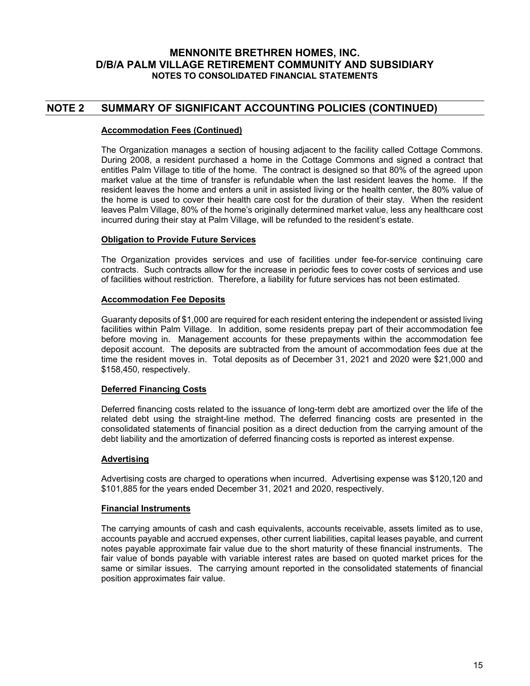# **NOTE 2 SUMMARY OF SIGNIFICANT ACCOUNTING POLICIES (CONTINUED)**

#### **Accommodation Fees (Continued)**

The Organization manages a section of housing adjacent to the facility called Cottage Commons. During 2008, a resident purchased a home in the Cottage Commons and signed a contract that entitles Palm Village to title of the home. The contract is designed so that 80% of the agreed upon market value at the time of transfer is refundable when the last resident leaves the home. If the resident leaves the home and enters a unit in assisted living or the health center, the 80% value of the home is used to cover their health care cost for the duration of their stay. When the resident leaves Palm Village, 80% of the home's originally determined market value, less any healthcare cost incurred during their stay at Palm Village, will be refunded to the resident's estate.

#### **Obligation to Provide Future Services**

The Organization provides services and use of facilities under fee-for-service continuing care contracts. Such contracts allow for the increase in periodic fees to cover costs of services and use of facilities without restriction. Therefore, a liability for future services has not been estimated.

#### **Accommodation Fee Deposits**

Guaranty deposits of \$1,000 are required for each resident entering the independent or assisted living facilities within Palm Village. In addition, some residents prepay part of their accommodation fee before moving in. Management accounts for these prepayments within the accommodation fee deposit account. The deposits are subtracted from the amount of accommodation fees due at the time the resident moves in. Total deposits as of December 31, 2021 and 2020 were \$21,000 and \$158,450, respectively.

#### **Deferred Financing Costs**

Deferred financing costs related to the issuance of long-term debt are amortized over the life of the related debt using the straight-line method. The deferred financing costs are presented in the consolidated statements of financial position as a direct deduction from the carrying amount of the debt liability and the amortization of deferred financing costs is reported as interest expense.

#### **Advertising**

Advertising costs are charged to operations when incurred. Advertising expense was \$120,120 and \$101,885 for the years ended December 31, 2021 and 2020, respectively.

#### **Financial Instruments**

The carrying amounts of cash and cash equivalents, accounts receivable, assets limited as to use, accounts payable and accrued expenses, other current liabilities, capital leases payable, and current notes payable approximate fair value due to the short maturity of these financial instruments. The fair value of bonds payable with variable interest rates are based on quoted market prices for the same or similar issues. The carrying amount reported in the consolidated statements of financial position approximates fair value.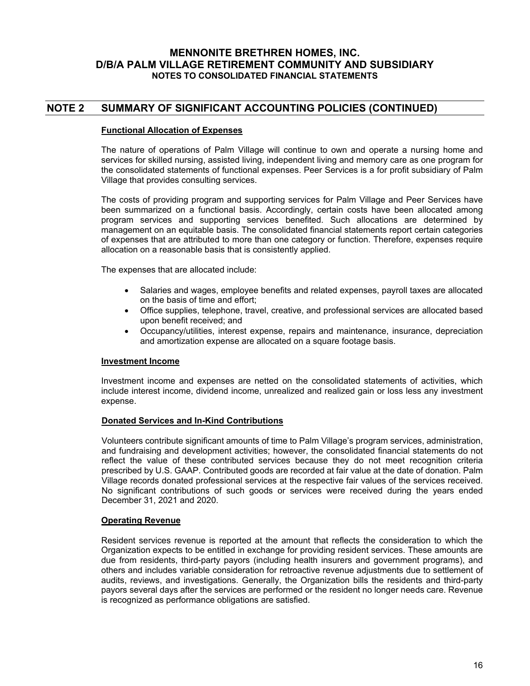# **NOTE 2 SUMMARY OF SIGNIFICANT ACCOUNTING POLICIES (CONTINUED)**

#### **Functional Allocation of Expenses**

The nature of operations of Palm Village will continue to own and operate a nursing home and services for skilled nursing, assisted living, independent living and memory care as one program for the consolidated statements of functional expenses. Peer Services is a for profit subsidiary of Palm Village that provides consulting services.

The costs of providing program and supporting services for Palm Village and Peer Services have been summarized on a functional basis. Accordingly, certain costs have been allocated among program services and supporting services benefited. Such allocations are determined by management on an equitable basis. The consolidated financial statements report certain categories of expenses that are attributed to more than one category or function. Therefore, expenses require allocation on a reasonable basis that is consistently applied.

The expenses that are allocated include:

- Salaries and wages, employee benefits and related expenses, payroll taxes are allocated on the basis of time and effort;
- Office supplies, telephone, travel, creative, and professional services are allocated based upon benefit received; and
- Occupancy/utilities, interest expense, repairs and maintenance, insurance, depreciation and amortization expense are allocated on a square footage basis.

#### **Investment Income**

Investment income and expenses are netted on the consolidated statements of activities, which include interest income, dividend income, unrealized and realized gain or loss less any investment expense.

#### **Donated Services and In-Kind Contributions**

Volunteers contribute significant amounts of time to Palm Village's program services, administration, and fundraising and development activities; however, the consolidated financial statements do not reflect the value of these contributed services because they do not meet recognition criteria prescribed by U.S. GAAP. Contributed goods are recorded at fair value at the date of donation. Palm Village records donated professional services at the respective fair values of the services received. No significant contributions of such goods or services were received during the years ended December 31, 2021 and 2020.

#### **Operating Revenue**

Resident services revenue is reported at the amount that reflects the consideration to which the Organization expects to be entitled in exchange for providing resident services. These amounts are due from residents, third-party payors (including health insurers and government programs), and others and includes variable consideration for retroactive revenue adjustments due to settlement of audits, reviews, and investigations. Generally, the Organization bills the residents and third-party payors several days after the services are performed or the resident no longer needs care. Revenue is recognized as performance obligations are satisfied.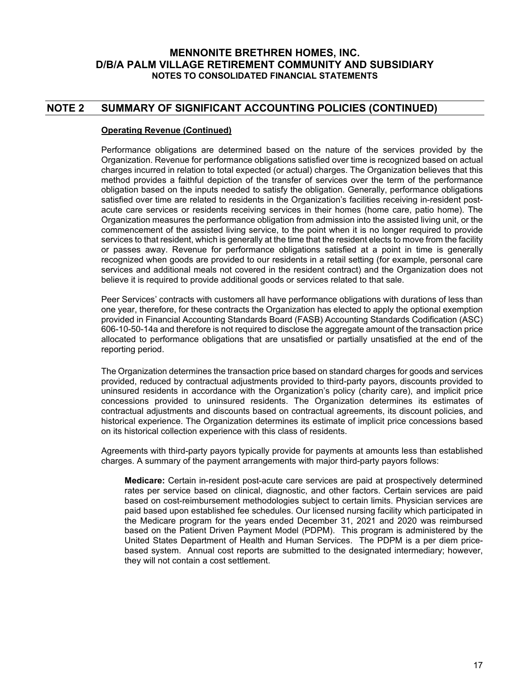# **NOTE 2 SUMMARY OF SIGNIFICANT ACCOUNTING POLICIES (CONTINUED)**

#### **Operating Revenue (Continued)**

Performance obligations are determined based on the nature of the services provided by the Organization. Revenue for performance obligations satisfied over time is recognized based on actual charges incurred in relation to total expected (or actual) charges. The Organization believes that this method provides a faithful depiction of the transfer of services over the term of the performance obligation based on the inputs needed to satisfy the obligation. Generally, performance obligations satisfied over time are related to residents in the Organization's facilities receiving in-resident postacute care services or residents receiving services in their homes (home care, patio home). The Organization measures the performance obligation from admission into the assisted living unit, or the commencement of the assisted living service, to the point when it is no longer required to provide services to that resident, which is generally at the time that the resident elects to move from the facility or passes away. Revenue for performance obligations satisfied at a point in time is generally recognized when goods are provided to our residents in a retail setting (for example, personal care services and additional meals not covered in the resident contract) and the Organization does not believe it is required to provide additional goods or services related to that sale.

Peer Services' contracts with customers all have performance obligations with durations of less than one year, therefore, for these contracts the Organization has elected to apply the optional exemption provided in Financial Accounting Standards Board (FASB) Accounting Standards Codification (ASC) 606-10-50-14a and therefore is not required to disclose the aggregate amount of the transaction price allocated to performance obligations that are unsatisfied or partially unsatisfied at the end of the reporting period.

The Organization determines the transaction price based on standard charges for goods and services provided, reduced by contractual adjustments provided to third-party payors, discounts provided to uninsured residents in accordance with the Organization's policy (charity care), and implicit price concessions provided to uninsured residents. The Organization determines its estimates of contractual adjustments and discounts based on contractual agreements, its discount policies, and historical experience. The Organization determines its estimate of implicit price concessions based on its historical collection experience with this class of residents.

Agreements with third-party payors typically provide for payments at amounts less than established charges. A summary of the payment arrangements with major third-party payors follows:

**Medicare:** Certain in-resident post-acute care services are paid at prospectively determined rates per service based on clinical, diagnostic, and other factors. Certain services are paid based on cost-reimbursement methodologies subject to certain limits. Physician services are paid based upon established fee schedules. Our licensed nursing facility which participated in the Medicare program for the years ended December 31, 2021 and 2020 was reimbursed based on the Patient Driven Payment Model (PDPM). This program is administered by the United States Department of Health and Human Services. The PDPM is a per diem pricebased system. Annual cost reports are submitted to the designated intermediary; however, they will not contain a cost settlement.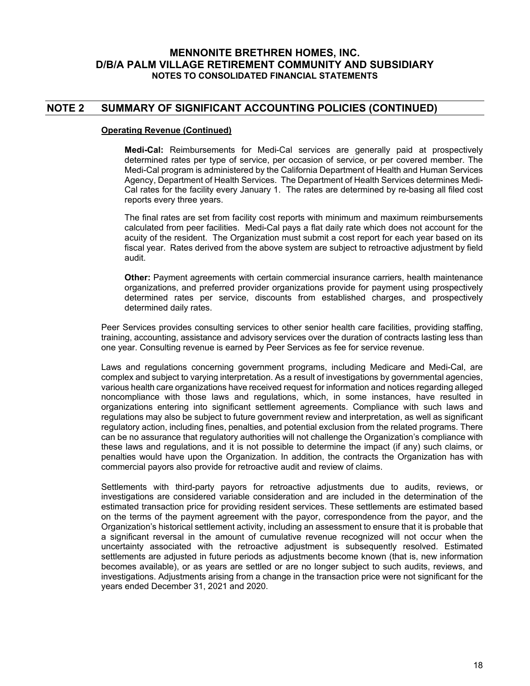## **NOTE 2 SUMMARY OF SIGNIFICANT ACCOUNTING POLICIES (CONTINUED)**

#### **Operating Revenue (Continued)**

**Medi-Cal:** Reimbursements for Medi-Cal services are generally paid at prospectively determined rates per type of service, per occasion of service, or per covered member. The Medi-Cal program is administered by the California Department of Health and Human Services Agency, Department of Health Services. The Department of Health Services determines Medi-Cal rates for the facility every January 1. The rates are determined by re-basing all filed cost reports every three years.

The final rates are set from facility cost reports with minimum and maximum reimbursements calculated from peer facilities. Medi-Cal pays a flat daily rate which does not account for the acuity of the resident. The Organization must submit a cost report for each year based on its fiscal year. Rates derived from the above system are subject to retroactive adjustment by field audit.

**Other:** Payment agreements with certain commercial insurance carriers, health maintenance organizations, and preferred provider organizations provide for payment using prospectively determined rates per service, discounts from established charges, and prospectively determined daily rates.

Peer Services provides consulting services to other senior health care facilities, providing staffing, training, accounting, assistance and advisory services over the duration of contracts lasting less than one year. Consulting revenue is earned by Peer Services as fee for service revenue.

Laws and regulations concerning government programs, including Medicare and Medi-Cal, are complex and subject to varying interpretation. As a result of investigations by governmental agencies, various health care organizations have received request for information and notices regarding alleged noncompliance with those laws and regulations, which, in some instances, have resulted in organizations entering into significant settlement agreements. Compliance with such laws and regulations may also be subject to future government review and interpretation, as well as significant regulatory action, including fines, penalties, and potential exclusion from the related programs. There can be no assurance that regulatory authorities will not challenge the Organization's compliance with these laws and regulations, and it is not possible to determine the impact (if any) such claims, or penalties would have upon the Organization. In addition, the contracts the Organization has with commercial payors also provide for retroactive audit and review of claims.

Settlements with third-party payors for retroactive adjustments due to audits, reviews, or investigations are considered variable consideration and are included in the determination of the estimated transaction price for providing resident services. These settlements are estimated based on the terms of the payment agreement with the payor, correspondence from the payor, and the Organization's historical settlement activity, including an assessment to ensure that it is probable that a significant reversal in the amount of cumulative revenue recognized will not occur when the uncertainty associated with the retroactive adjustment is subsequently resolved. Estimated settlements are adjusted in future periods as adjustments become known (that is, new information becomes available), or as years are settled or are no longer subject to such audits, reviews, and investigations. Adjustments arising from a change in the transaction price were not significant for the years ended December 31, 2021 and 2020.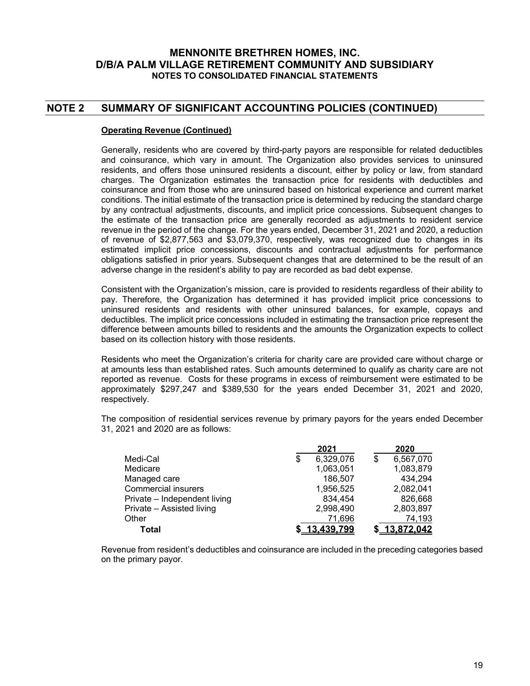# **NOTE 2 SUMMARY OF SIGNIFICANT ACCOUNTING POLICIES (CONTINUED)**

#### **Operating Revenue (Continued)**

Generally, residents who are covered by third-party payors are responsible for related deductibles and coinsurance, which vary in amount. The Organization also provides services to uninsured residents, and offers those uninsured residents a discount, either by policy or law, from standard charges. The Organization estimates the transaction price for residents with deductibles and coinsurance and from those who are uninsured based on historical experience and current market conditions. The initial estimate of the transaction price is determined by reducing the standard charge by any contractual adjustments, discounts, and implicit price concessions. Subsequent changes to the estimate of the transaction price are generally recorded as adjustments to resident service revenue in the period of the change. For the years ended, December 31, 2021 and 2020, a reduction of revenue of \$2,877,563 and \$3,079,370, respectively, was recognized due to changes in its estimated implicit price concessions, discounts and contractual adjustments for performance obligations satisfied in prior years. Subsequent changes that are determined to be the result of an adverse change in the resident's ability to pay are recorded as bad debt expense.

Consistent with the Organization's mission, care is provided to residents regardless of their ability to pay. Therefore, the Organization has determined it has provided implicit price concessions to uninsured residents and residents with other uninsured balances, for example, copays and deductibles. The implicit price concessions included in estimating the transaction price represent the difference between amounts billed to residents and the amounts the Organization expects to collect based on its collection history with those residents.

Residents who meet the Organization's criteria for charity care are provided care without charge or at amounts less than established rates. Such amounts determined to qualify as charity care are not reported as revenue. Costs for these programs in excess of reimbursement were estimated to be approximately \$297,247 and \$389,530 for the years ended December 31, 2021 and 2020, respectively.

The composition of residential services revenue by primary payors for the years ended December 31, 2021 and 2020 are as follows:

|                              | 2021            | 2020              |
|------------------------------|-----------------|-------------------|
| Medi-Cal                     | \$<br>6,329,076 | \$<br>6,567,070   |
| Medicare                     | 1,063,051       | 1,083,879         |
| Managed care                 | 186,507         | 434,294           |
| <b>Commercial insurers</b>   | 1,956,525       | 2,082,041         |
| Private - Independent living | 834,454         | 826,668           |
| Private - Assisted living    | 2,998,490       | 2,803,897         |
| Other                        | 71,696          | 74,193            |
| Total                        | 13.439.799      | <u>13.872.042</u> |

Revenue from resident's deductibles and coinsurance are included in the preceding categories based on the primary payor.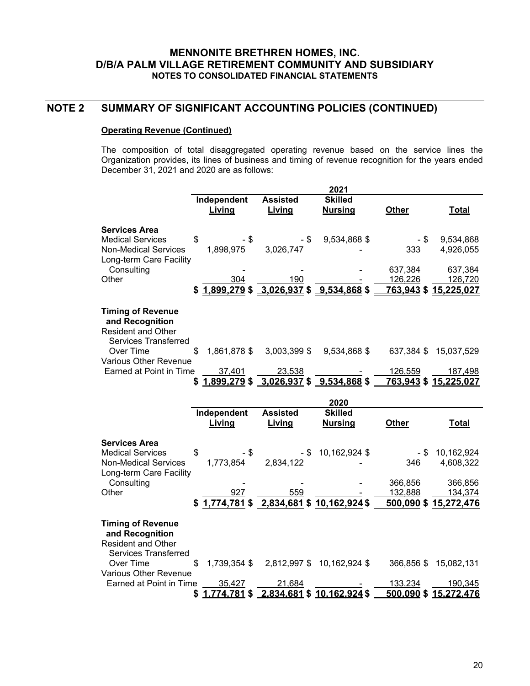### **NOTE 2 SUMMARY OF SIGNIFICANT ACCOUNTING POLICIES (CONTINUED)**

#### **Operating Revenue (Continued)**

The composition of total disaggregated operating revenue based on the service lines the Organization provides, its lines of business and timing of revenue recognition for the years ended December 31, 2021 and 2020 are as follows:

|                                                                                                           |                              |                                                      | 2021                                     |                      |                                             |
|-----------------------------------------------------------------------------------------------------------|------------------------------|------------------------------------------------------|------------------------------------------|----------------------|---------------------------------------------|
|                                                                                                           | Independent<br>Living        | <b>Assisted</b><br>Living                            | <b>Skilled</b><br><b>Nursing</b>         | <b>Other</b>         | <b>Total</b>                                |
| <b>Services Area</b><br><b>Medical Services</b><br><b>Non-Medical Services</b><br>Long-term Care Facility | \$<br>- \$<br>1,898,975      | - \$<br>3,026,747                                    | 9,534,868 \$                             | - \$<br>333          | 9,534,868<br>4,926,055                      |
| Consulting<br>Other                                                                                       | 304<br>\$1.899.279           | 190<br>$3,026,937$ \$ 9,534,868 \$                   |                                          | 637,384<br>126,226   | 637,384<br>126,720<br>763,943 \$ 15,225,027 |
| <b>Timing of Revenue</b><br>and Recognition<br><b>Resident and Other</b>                                  |                              |                                                      |                                          |                      |                                             |
| <b>Services Transferred</b><br>Over Time<br>Various Other Revenue                                         | 1,861,878 \$                 | 3,003,399 \$                                         | 9,534,868 \$                             |                      | 637,384 \$ 15,037,529                       |
| Earned at Point in Time                                                                                   | 37,401                       | 23,538<br>$$1,899,279$ $$3,026,937$ $$9,534,868$ $$$ |                                          | 126,559              | 187,498<br>763,943 \$ 15,225,027            |
|                                                                                                           |                              |                                                      |                                          |                      |                                             |
|                                                                                                           |                              |                                                      |                                          |                      |                                             |
|                                                                                                           | Independent<br>Living        | <b>Assisted</b><br>Living                            | 2020<br><b>Skilled</b><br><b>Nursing</b> | <b>Other</b>         | <b>Total</b>                                |
| <b>Services Area</b>                                                                                      |                              |                                                      |                                          |                      |                                             |
| <b>Medical Services</b><br><b>Non-Medical Services</b>                                                    | \$<br>- \$<br>1,773,854      | - \$<br>2,834,122                                    | 10,162,924 \$                            | - \$<br>346          | 10,162,924<br>4,608,322                     |
| Long-term Care Facility<br>Consulting                                                                     |                              |                                                      |                                          | 366,856              | 366,856                                     |
| Other                                                                                                     | 927                          | 559<br>$$1,774,781$ $$2,834,681$ $$10,162,924$ $$$   |                                          | 132,888              | 134,374<br>500,090 \$15,272,476             |
| <b>Timing of Revenue</b><br>and Recognition<br><b>Resident and Other</b>                                  |                              |                                                      |                                          |                      |                                             |
| <b>Services Transferred</b><br>Over Time                                                                  | 1,739,354 \$                 |                                                      | 2,812,997 \$ 10,162,924 \$               |                      | 366,856 \$ 15,082,131                       |
| Various Other Revenue<br>Earned at Point in Time                                                          | 35,427<br>1,774,781 \$<br>\$ | 21,684                                               | 2,834,681 \$10,162,924 \$                | 133,234<br>500,090\$ | 190,345<br>15,272,476                       |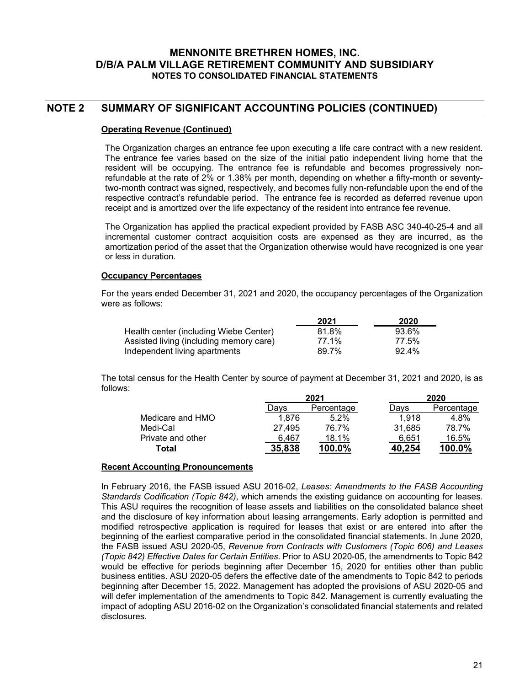# **NOTE 2 SUMMARY OF SIGNIFICANT ACCOUNTING POLICIES (CONTINUED)**

#### **Operating Revenue (Continued)**

The Organization charges an entrance fee upon executing a life care contract with a new resident. The entrance fee varies based on the size of the initial patio independent living home that the resident will be occupying. The entrance fee is refundable and becomes progressively nonrefundable at the rate of 2% or 1.38% per month, depending on whether a fifty-month or seventytwo-month contract was signed, respectively, and becomes fully non-refundable upon the end of the respective contract's refundable period. The entrance fee is recorded as deferred revenue upon receipt and is amortized over the life expectancy of the resident into entrance fee revenue.

The Organization has applied the practical expedient provided by FASB ASC 340-40-25-4 and all incremental customer contract acquisition costs are expensed as they are incurred, as the amortization period of the asset that the Organization otherwise would have recognized is one year or less in duration.

#### **Occupancy Percentages**

For the years ended December 31, 2021 and 2020, the occupancy percentages of the Organization were as follows:

|                                         | 2021  | 2020     |
|-----------------------------------------|-------|----------|
| Health center (including Wiebe Center)  | 81.8% | 93.6%    |
| Assisted living (including memory care) | 77.1% | 77.5%    |
| Independent living apartments           | 89.7% | $92.4\%$ |

The total census for the Health Center by source of payment at December 31, 2021 and 2020, is as follows:

|                   |               | 2021       |               | 2020       |
|-------------------|---------------|------------|---------------|------------|
|                   | Davs          | Percentage | Davs          | Percentage |
| Medicare and HMO  | 1.876         | 5.2%       | 1.918         | 4.8%       |
| Medi-Cal          | 27.495        | 76.7%      | 31.685        | 78.7%      |
| Private and other | 6.467         | 18.1%      | 6.651         | 16.5%      |
| Total             | <u>35.838</u> | 100.0%     | <u>40.254</u> | $100.0\%$  |

#### **Recent Accounting Pronouncements**

In February 2016, the FASB issued ASU 2016-02, *Leases: Amendments to the FASB Accounting Standards Codification (Topic 842)*, which amends the existing guidance on accounting for leases. This ASU requires the recognition of lease assets and liabilities on the consolidated balance sheet and the disclosure of key information about leasing arrangements. Early adoption is permitted and modified retrospective application is required for leases that exist or are entered into after the beginning of the earliest comparative period in the consolidated financial statements. In June 2020, the FASB issued ASU 2020-05, *Revenue from Contracts with Customers (Topic 606) and Leases (Topic 842) Effective Dates for Certain Entities*. Prior to ASU 2020-05, the amendments to Topic 842 would be effective for periods beginning after December 15, 2020 for entities other than public business entities. ASU 2020-05 defers the effective date of the amendments to Topic 842 to periods beginning after December 15, 2022. Management has adopted the provisions of ASU 2020-05 and will defer implementation of the amendments to Topic 842. Management is currently evaluating the impact of adopting ASU 2016-02 on the Organization's consolidated financial statements and related disclosures.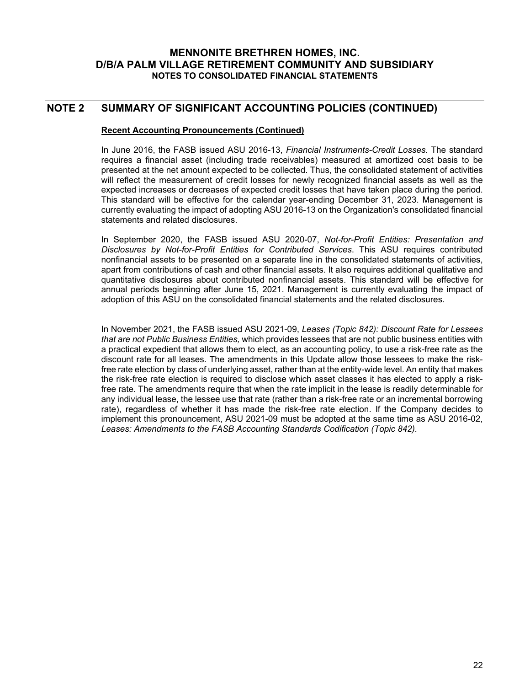## **NOTE 2 SUMMARY OF SIGNIFICANT ACCOUNTING POLICIES (CONTINUED)**

#### **Recent Accounting Pronouncements (Continued)**

In June 2016, the FASB issued ASU 2016-13, *Financial Instruments-Credit Losses*. The standard requires a financial asset (including trade receivables) measured at amortized cost basis to be presented at the net amount expected to be collected. Thus, the consolidated statement of activities will reflect the measurement of credit losses for newly recognized financial assets as well as the expected increases or decreases of expected credit losses that have taken place during the period. This standard will be effective for the calendar year-ending December 31, 2023. Management is currently evaluating the impact of adopting ASU 2016-13 on the Organization's consolidated financial statements and related disclosures.

In September 2020, the FASB issued ASU 2020-07, *Not-for-Profit Entities: Presentation and Disclosures by Not-for-Profit Entities for Contributed Services*. This ASU requires contributed nonfinancial assets to be presented on a separate line in the consolidated statements of activities, apart from contributions of cash and other financial assets. It also requires additional qualitative and quantitative disclosures about contributed nonfinancial assets. This standard will be effective for annual periods beginning after June 15, 2021. Management is currently evaluating the impact of adoption of this ASU on the consolidated financial statements and the related disclosures.

In November 2021, the FASB issued ASU 2021-09, *Leases (Topic 842): Discount Rate for Lessees that are not Public Business Entities,* which provides lessees that are not public business entities with a practical expedient that allows them to elect, as an accounting policy, to use a risk-free rate as the discount rate for all leases. The amendments in this Update allow those lessees to make the riskfree rate election by class of underlying asset, rather than at the entity-wide level. An entity that makes the risk-free rate election is required to disclose which asset classes it has elected to apply a riskfree rate. The amendments require that when the rate implicit in the lease is readily determinable for any individual lease, the lessee use that rate (rather than a risk-free rate or an incremental borrowing rate), regardless of whether it has made the risk-free rate election. If the Company decides to implement this pronouncement, ASU 2021-09 must be adopted at the same time as ASU 2016-02, *Leases: Amendments to the FASB Accounting Standards Codification (Topic 842).*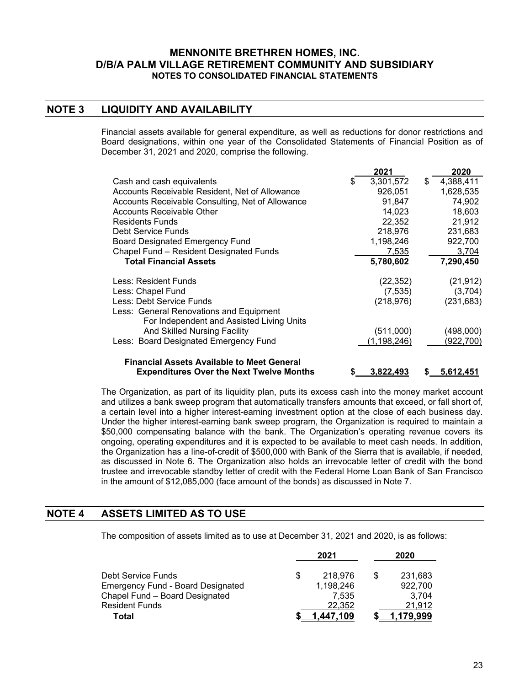# **NOTE 3 LIQUIDITY AND AVAILABILITY**

Financial assets available for general expenditure, as well as reductions for donor restrictions and Board designations, within one year of the Consolidated Statements of Financial Position as of December 31, 2021 and 2020, comprise the following.

|                                                   |   | 2021          | 2020            |
|---------------------------------------------------|---|---------------|-----------------|
| Cash and cash equivalents                         | S | 3,301,572     | \$<br>4,388,411 |
| Accounts Receivable Resident, Net of Allowance    |   | 926,051       | 1,628,535       |
| Accounts Receivable Consulting, Net of Allowance  |   | 91,847        | 74,902          |
| Accounts Receivable Other                         |   | 14,023        | 18,603          |
| <b>Residents Funds</b>                            |   | 22,352        | 21,912          |
| Debt Service Funds                                |   | 218,976       | 231,683         |
| <b>Board Designated Emergency Fund</b>            |   | 1,198,246     | 922,700         |
| Chapel Fund - Resident Designated Funds           |   | 7,535         | 3,704           |
| <b>Total Financial Assets</b>                     |   | 5,780,602     | 7,290,450       |
| Less: Resident Funds                              |   | (22, 352)     | (21, 912)       |
| Less: Chapel Fund                                 |   | (7, 535)      | (3,704)         |
| Less: Debt Service Funds                          |   | (218, 976)    | (231, 683)      |
| Less: General Renovations and Equipment           |   |               |                 |
| For Independent and Assisted Living Units         |   |               |                 |
| And Skilled Nursing Facility                      |   | (511,000)     | (498,000)       |
| Less: Board Designated Emergency Fund             |   | (1, 198, 246) | (922,700)       |
| <b>Financial Assets Available to Meet General</b> |   |               |                 |

The Organization, as part of its liquidity plan, puts its excess cash into the money market account and utilizes a bank sweep program that automatically transfers amounts that exceed, or fall short of, a certain level into a higher interest-earning investment option at the close of each business day. Under the higher interest-earning bank sweep program, the Organization is required to maintain a \$50,000 compensating balance with the bank. The Organization's operating revenue covers its ongoing, operating expenditures and it is expected to be available to meet cash needs. In addition, the Organization has a line-of-credit of \$500,000 with Bank of the Sierra that is available, if needed, as discussed in Note 6. The Organization also holds an irrevocable letter of credit with the bond trustee and irrevocable standby letter of credit with the Federal Home Loan Bank of San Francisco in the amount of \$12,085,000 (face amount of the bonds) as discussed in Note 7.

 **Expenditures Over the Next Twelve Months \$ 3,822,493 \$ 5,612,451**

#### **NOTE 4 ASSETS LIMITED AS TO USE**

The composition of assets limited as to use at December 31, 2021 and 2020, is as follows:

|                                          |   | 2021      |     | 2020    |
|------------------------------------------|---|-----------|-----|---------|
| Debt Service Funds                       | S | 218,976   | \$. | 231,683 |
| <b>Emergency Fund - Board Designated</b> |   | 1,198,246 |     | 922,700 |
| Chapel Fund - Board Designated           |   | 7.535     |     | 3.704   |
| <b>Resident Funds</b>                    |   | 22.352    |     | 21.912  |
| Total                                    |   | 447.109   |     | 79.999  |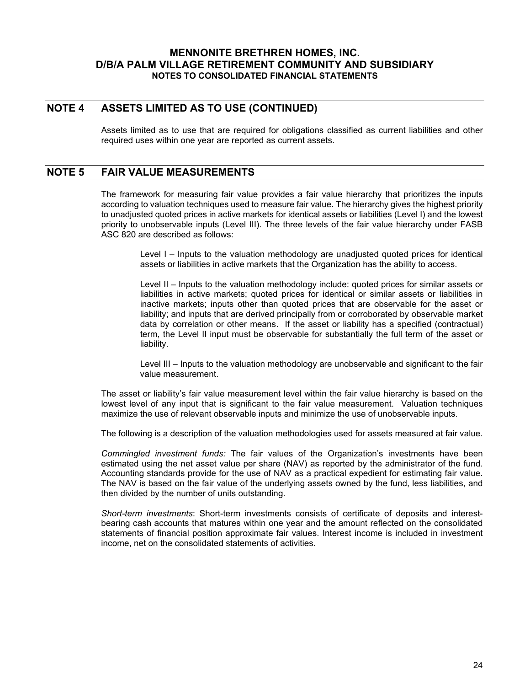### **NOTE 4 ASSETS LIMITED AS TO USE (CONTINUED)**

Assets limited as to use that are required for obligations classified as current liabilities and other required uses within one year are reported as current assets.

### **NOTE 5 FAIR VALUE MEASUREMENTS**

The framework for measuring fair value provides a fair value hierarchy that prioritizes the inputs according to valuation techniques used to measure fair value. The hierarchy gives the highest priority to unadjusted quoted prices in active markets for identical assets or liabilities (Level I) and the lowest priority to unobservable inputs (Level III). The three levels of the fair value hierarchy under FASB ASC 820 are described as follows:

Level I – Inputs to the valuation methodology are unadjusted quoted prices for identical assets or liabilities in active markets that the Organization has the ability to access.

Level II – Inputs to the valuation methodology include: quoted prices for similar assets or liabilities in active markets; quoted prices for identical or similar assets or liabilities in inactive markets; inputs other than quoted prices that are observable for the asset or liability; and inputs that are derived principally from or corroborated by observable market data by correlation or other means. If the asset or liability has a specified (contractual) term, the Level II input must be observable for substantially the full term of the asset or liability.

Level III – Inputs to the valuation methodology are unobservable and significant to the fair value measurement.

The asset or liability's fair value measurement level within the fair value hierarchy is based on the lowest level of any input that is significant to the fair value measurement. Valuation techniques maximize the use of relevant observable inputs and minimize the use of unobservable inputs.

The following is a description of the valuation methodologies used for assets measured at fair value.

*Commingled investment funds:* The fair values of the Organization's investments have been estimated using the net asset value per share (NAV) as reported by the administrator of the fund. Accounting standards provide for the use of NAV as a practical expedient for estimating fair value. The NAV is based on the fair value of the underlying assets owned by the fund, less liabilities, and then divided by the number of units outstanding.

*Short-term investments*: Short-term investments consists of certificate of deposits and interestbearing cash accounts that matures within one year and the amount reflected on the consolidated statements of financial position approximate fair values. Interest income is included in investment income, net on the consolidated statements of activities.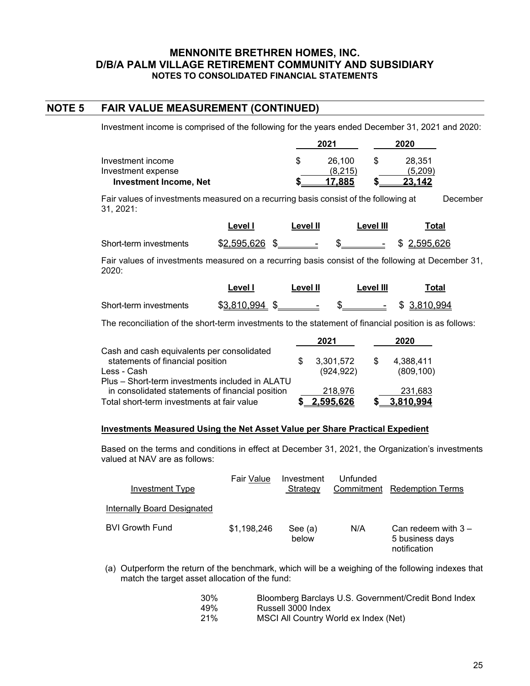### **NOTE 5 FAIR VALUE MEASUREMENT (CONTINUED)**

Investment income is comprised of the following for the years ended December 31, 2021 and 2020:

|                               | 2021    | 2020    |
|-------------------------------|---------|---------|
| Investment income             | 26.100  | 28.351  |
| Investment expense            | (8.215) | (5.209) |
| <b>Investment Income, Net</b> | 17.885  | 23.142  |

Fair values of investments measured on a recurring basis consist of the following at December 31, 2021:

|                                                                                                 | Level I | <b>Level II</b> | Level III                                 | Total |  |
|-------------------------------------------------------------------------------------------------|---------|-----------------|-------------------------------------------|-------|--|
| Short-term investments                                                                          |         |                 | $$2.595.626$ \$ $$$ \$ $$$ \$ $2.595.626$ |       |  |
| Eair values of investments measured on a recurring basis consist of the following at December 3 |         |                 |                                           |       |  |

Fair values of investments measured on a recurring basis consist of the following at December 31, 2020:

|                        | ∟evel l     | Level II | Level III | Total            |
|------------------------|-------------|----------|-----------|------------------|
| Short-term investments | \$3.810.994 |          |           | $-$ \$ 3.810.994 |

The reconciliation of the short-term investments to the statement of financial position is as follows:

|                                                                                                     | 2021       |     | 2020       |
|-----------------------------------------------------------------------------------------------------|------------|-----|------------|
| Cash and cash equivalents per consolidated<br>statements of financial position                      | 3,301,572  | \$. | 4,388,411  |
| Less - Cash                                                                                         | (924, 922) |     | (809, 100) |
| Plus – Short-term investments included in ALATU<br>in consolidated statements of financial position | 218,976    |     | 231,683    |
| Total short-term investments at fair value                                                          | : 595.626  |     | 3.810.994  |

#### **Investments Measured Using the Net Asset Value per Share Practical Expedient**

Based on the terms and conditions in effect at December 31, 2021, the Organization's investments valued at NAV are as follows:

| Investment Type             | Fair Value  | Investment<br>Strategy | Unfunded | Commitment Redemption Terms                              |
|-----------------------------|-------------|------------------------|----------|----------------------------------------------------------|
| Internally Board Designated |             |                        |          |                                                          |
| <b>BVI Growth Fund</b>      | \$1,198,246 | See (a)<br>below       | N/A      | Can redeem with $3 -$<br>5 business days<br>notification |

(a) Outperform the return of the benchmark, which will be a weighing of the following indexes that match the target asset allocation of the fund:

| 30% | Bloomberg Barclays U.S. Government/Credit Bond Index |
|-----|------------------------------------------------------|
| 49% | Russell 3000 Index                                   |
| 21% | MSCI All Country World ex Index (Net)                |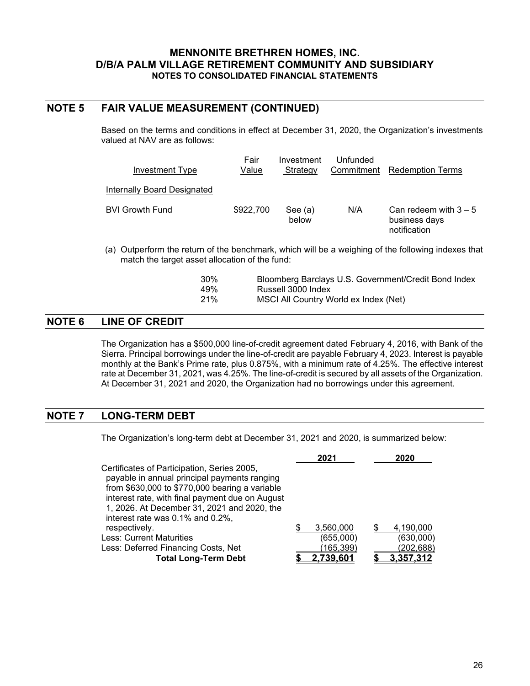### **NOTE 5 FAIR VALUE MEASUREMENT (CONTINUED)**

Based on the terms and conditions in effect at December 31, 2020, the Organization's investments valued at NAV are as follows:

| Investment Type             | Fair<br>Value | Investment<br>Strategy | Unfunded<br>Commitment | <b>Redemption Terms</b>                                  |
|-----------------------------|---------------|------------------------|------------------------|----------------------------------------------------------|
| Internally Board Designated |               |                        |                        |                                                          |
| <b>BVI Growth Fund</b>      | \$922,700     | See (a)<br>below       | N/A                    | Can redeem with $3 - 5$<br>business days<br>notification |

(a) Outperform the return of the benchmark, which will be a weighing of the following indexes that match the target asset allocation of the fund:

| 30 <sup>%</sup> | Bloomberg Barclays U.S. Government/Credit Bond Index |
|-----------------|------------------------------------------------------|
| 49%             | Russell 3000 Index                                   |
| 21%             | MSCI All Country World ex Index (Net)                |

## **NOTE 6 LINE OF CREDIT**

The Organization has a \$500,000 line-of-credit agreement dated February 4, 2016, with Bank of the Sierra. Principal borrowings under the line-of-credit are payable February 4, 2023. Interest is payable monthly at the Bank's Prime rate, plus 0.875%, with a minimum rate of 4.25%. The effective interest rate at December 31, 2021, was 4.25%. The line-of-credit is secured by all assets of the Organization. At December 31, 2021 and 2020, the Organization had no borrowings under this agreement.

# **NOTE 7 LONG-TERM DEBT**

The Organization's long-term debt at December 31, 2021 and 2020, is summarized below:

|                                                  | 2021             | 2020             |
|--------------------------------------------------|------------------|------------------|
| Certificates of Participation, Series 2005,      |                  |                  |
| payable in annual principal payments ranging     |                  |                  |
| from $$630,000$ to $$770,000$ bearing a variable |                  |                  |
| interest rate, with final payment due on August  |                  |                  |
| 1, 2026. At December 31, 2021 and 2020, the      |                  |                  |
| interest rate was 0.1% and 0.2%,                 |                  |                  |
| respectively.                                    | 3,560,000        | 4,190,000        |
| <b>Less: Current Maturities</b>                  | (655,000)        | (630,000)        |
| Less: Deferred Financing Costs, Net              | (165,399)        | (202, 688)       |
| <b>Total Long-Term Debt</b>                      | <u>2.739.601</u> | <u>3.357.312</u> |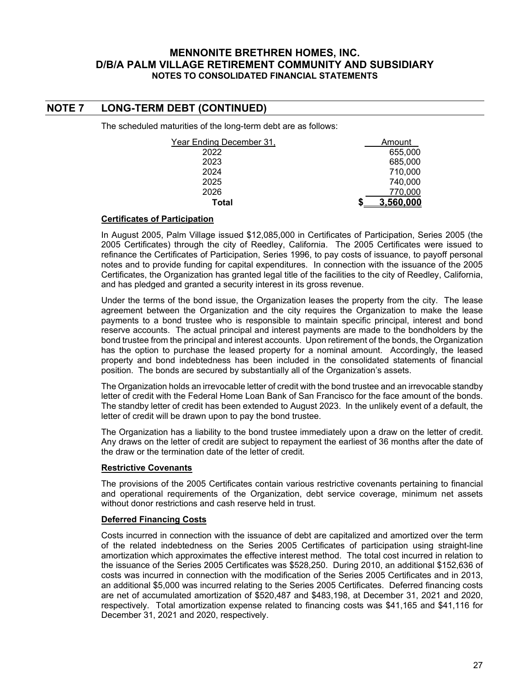# **NOTE 7 LONG-TERM DEBT (CONTINUED)**

The scheduled maturities of the long-term debt are as follows:

| Year Ending December 31, | Amount    |
|--------------------------|-----------|
| 2022                     | 655,000   |
| 2023                     | 685,000   |
| 2024                     | 710,000   |
| 2025                     | 740,000   |
| 2026                     | 770,000   |
| Total                    | 3.560.000 |

#### **Certificates of Participation**

In August 2005, Palm Village issued \$12,085,000 in Certificates of Participation, Series 2005 (the 2005 Certificates) through the city of Reedley, California. The 2005 Certificates were issued to refinance the Certificates of Participation, Series 1996, to pay costs of issuance, to payoff personal notes and to provide funding for capital expenditures. In connection with the issuance of the 2005 Certificates, the Organization has granted legal title of the facilities to the city of Reedley, California, and has pledged and granted a security interest in its gross revenue.

Under the terms of the bond issue, the Organization leases the property from the city. The lease agreement between the Organization and the city requires the Organization to make the lease payments to a bond trustee who is responsible to maintain specific principal, interest and bond reserve accounts. The actual principal and interest payments are made to the bondholders by the bond trustee from the principal and interest accounts. Upon retirement of the bonds, the Organization has the option to purchase the leased property for a nominal amount. Accordingly, the leased property and bond indebtedness has been included in the consolidated statements of financial position. The bonds are secured by substantially all of the Organization's assets.

The Organization holds an irrevocable letter of credit with the bond trustee and an irrevocable standby letter of credit with the Federal Home Loan Bank of San Francisco for the face amount of the bonds. The standby letter of credit has been extended to August 2023. In the unlikely event of a default, the letter of credit will be drawn upon to pay the bond trustee.

The Organization has a liability to the bond trustee immediately upon a draw on the letter of credit. Any draws on the letter of credit are subject to repayment the earliest of 36 months after the date of the draw or the termination date of the letter of credit.

#### **Restrictive Covenants**

The provisions of the 2005 Certificates contain various restrictive covenants pertaining to financial and operational requirements of the Organization, debt service coverage, minimum net assets without donor restrictions and cash reserve held in trust.

#### **Deferred Financing Costs**

Costs incurred in connection with the issuance of debt are capitalized and amortized over the term of the related indebtedness on the Series 2005 Certificates of participation using straight-line amortization which approximates the effective interest method. The total cost incurred in relation to the issuance of the Series 2005 Certificates was \$528,250. During 2010, an additional \$152,636 of costs was incurred in connection with the modification of the Series 2005 Certificates and in 2013, an additional \$5,000 was incurred relating to the Series 2005 Certificates. Deferred financing costs are net of accumulated amortization of \$520,487 and \$483,198, at December 31, 2021 and 2020, respectively. Total amortization expense related to financing costs was \$41,165 and \$41,116 for December 31, 2021 and 2020, respectively.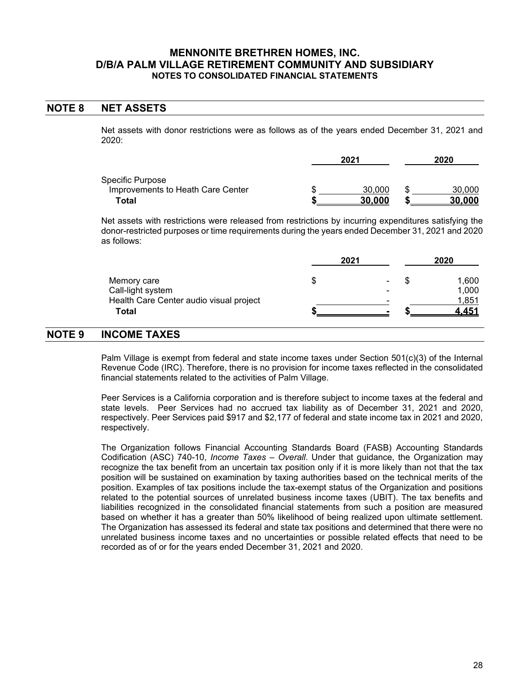#### **NOTE 8 NET ASSETS**

Net assets with donor restrictions were as follows as of the years ended December 31, 2021 and 2020:

|                                   | 2021   | 2020 |               |  |
|-----------------------------------|--------|------|---------------|--|
| Specific Purpose                  |        |      |               |  |
| Improvements to Heath Care Center | 30,000 |      | 30,000        |  |
| Total                             | 30.000 |      | <u>30.000</u> |  |

Net assets with restrictions were released from restrictions by incurring expenditures satisfying the donor-restricted purposes or time requirements during the years ended December 31, 2021 and 2020 as follows:

|                                         | 2021 | 2020           |  |       |
|-----------------------------------------|------|----------------|--|-------|
| Memory care                             | Ъ    | $\blacksquare$ |  | 1,600 |
| Call-light system                       |      | -              |  | 1,000 |
| Health Care Center audio visual project |      | -              |  | 1,851 |
| Total                                   |      |                |  | - 451 |

# **NOTE 9 INCOME TAXES**

Palm Village is exempt from federal and state income taxes under Section 501(c)(3) of the Internal Revenue Code (IRC). Therefore, there is no provision for income taxes reflected in the consolidated financial statements related to the activities of Palm Village.

Peer Services is a California corporation and is therefore subject to income taxes at the federal and state levels. Peer Services had no accrued tax liability as of December 31, 2021 and 2020, respectively. Peer Services paid \$917 and \$2,177 of federal and state income tax in 2021 and 2020, respectively.

The Organization follows Financial Accounting Standards Board (FASB) Accounting Standards Codification (ASC) 740-10, *Income Taxes – Overall*. Under that guidance, the Organization may recognize the tax benefit from an uncertain tax position only if it is more likely than not that the tax position will be sustained on examination by taxing authorities based on the technical merits of the position. Examples of tax positions include the tax-exempt status of the Organization and positions related to the potential sources of unrelated business income taxes (UBIT). The tax benefits and liabilities recognized in the consolidated financial statements from such a position are measured based on whether it has a greater than 50% likelihood of being realized upon ultimate settlement. The Organization has assessed its federal and state tax positions and determined that there were no unrelated business income taxes and no uncertainties or possible related effects that need to be recorded as of or for the years ended December 31, 2021 and 2020.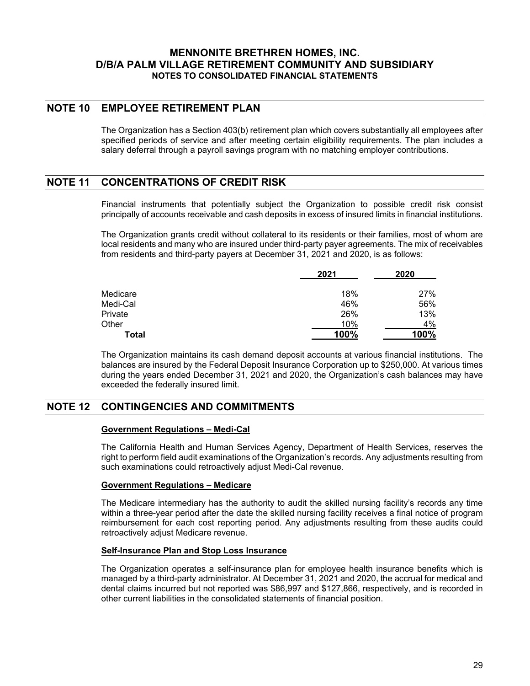## **NOTE 10 EMPLOYEE RETIREMENT PLAN**

The Organization has a Section 403(b) retirement plan which covers substantially all employees after specified periods of service and after meeting certain eligibility requirements. The plan includes a salary deferral through a payroll savings program with no matching employer contributions.

## **NOTE 11 CONCENTRATIONS OF CREDIT RISK**

Financial instruments that potentially subject the Organization to possible credit risk consist principally of accounts receivable and cash deposits in excess of insured limits in financial institutions.

The Organization grants credit without collateral to its residents or their families, most of whom are local residents and many who are insured under third-party payer agreements. The mix of receivables from residents and third-party payers at December 31, 2021 and 2020, is as follows:

|          | 2021 | 2020 |  |  |
|----------|------|------|--|--|
| Medicare | 18%  | 27%  |  |  |
| Medi-Cal | 46%  | 56%  |  |  |
| Private  | 26%  | 13%  |  |  |
| Other    | 10%  | 4%   |  |  |
| Total    | 100% | 100% |  |  |

The Organization maintains its cash demand deposit accounts at various financial institutions. The balances are insured by the Federal Deposit Insurance Corporation up to \$250,000. At various times during the years ended December 31, 2021 and 2020, the Organization's cash balances may have exceeded the federally insured limit.

# **NOTE 12 CONTINGENCIES AND COMMITMENTS**

#### **Government Regulations – Medi-Cal**

The California Health and Human Services Agency, Department of Health Services, reserves the right to perform field audit examinations of the Organization's records. Any adjustments resulting from such examinations could retroactively adjust Medi-Cal revenue.

#### **Government Regulations – Medicare**

The Medicare intermediary has the authority to audit the skilled nursing facility's records any time within a three-year period after the date the skilled nursing facility receives a final notice of program reimbursement for each cost reporting period. Any adjustments resulting from these audits could retroactively adjust Medicare revenue.

#### **Self-Insurance Plan and Stop Loss Insurance**

The Organization operates a self-insurance plan for employee health insurance benefits which is managed by a third-party administrator. At December 31, 2021 and 2020, the accrual for medical and dental claims incurred but not reported was \$86,997 and \$127,866, respectively, and is recorded in other current liabilities in the consolidated statements of financial position.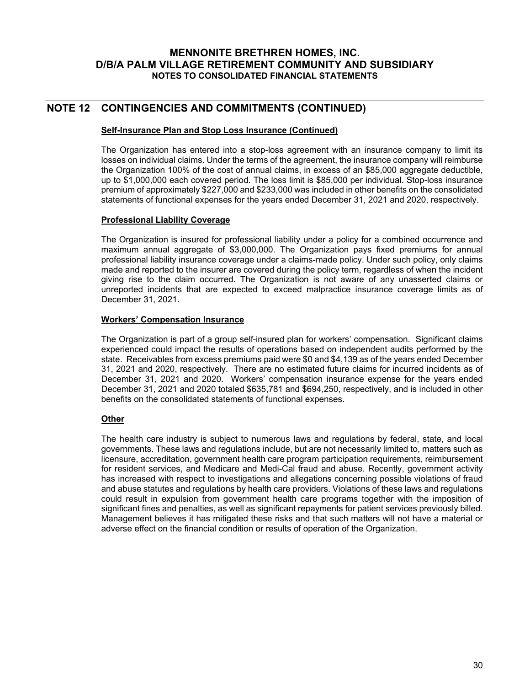## **NOTE 12 CONTINGENCIES AND COMMITMENTS (CONTINUED)**

#### **Self-Insurance Plan and Stop Loss Insurance (Continued)**

The Organization has entered into a stop-loss agreement with an insurance company to limit its losses on individual claims. Under the terms of the agreement, the insurance company will reimburse the Organization 100% of the cost of annual claims, in excess of an \$85,000 aggregate deductible, up to \$1,000,000 each covered period. The loss limit is \$85,000 per individual. Stop-loss insurance premium of approximately \$227,000 and \$233,000 was included in other benefits on the consolidated statements of functional expenses for the years ended December 31, 2021 and 2020, respectively.

#### **Professional Liability Coverage**

The Organization is insured for professional liability under a policy for a combined occurrence and maximum annual aggregate of \$3,000,000. The Organization pays fixed premiums for annual professional liability insurance coverage under a claims-made policy. Under such policy, only claims made and reported to the insurer are covered during the policy term, regardless of when the incident giving rise to the claim occurred. The Organization is not aware of any unasserted claims or unreported incidents that are expected to exceed malpractice insurance coverage limits as of December 31, 2021.

#### **Workers' Compensation Insurance**

The Organization is part of a group self-insured plan for workers' compensation. Significant claims experienced could impact the results of operations based on independent audits performed by the state. Receivables from excess premiums paid were \$0 and \$4,139 as of the years ended December 31, 2021 and 2020, respectively. There are no estimated future claims for incurred incidents as of December 31, 2021 and 2020. Workers' compensation insurance expense for the years ended December 31, 2021 and 2020 totaled \$635,781 and \$694,250, respectively, and is included in other benefits on the consolidated statements of functional expenses.

#### **Other**

The health care industry is subject to numerous laws and regulations by federal, state, and local governments. These laws and regulations include, but are not necessarily limited to, matters such as licensure, accreditation, government health care program participation requirements, reimbursement for resident services, and Medicare and Medi-Cal fraud and abuse. Recently, government activity has increased with respect to investigations and allegations concerning possible violations of fraud and abuse statutes and regulations by health care providers. Violations of these laws and regulations could result in expulsion from government health care programs together with the imposition of significant fines and penalties, as well as significant repayments for patient services previously billed. Management believes it has mitigated these risks and that such matters will not have a material or adverse effect on the financial condition or results of operation of the Organization.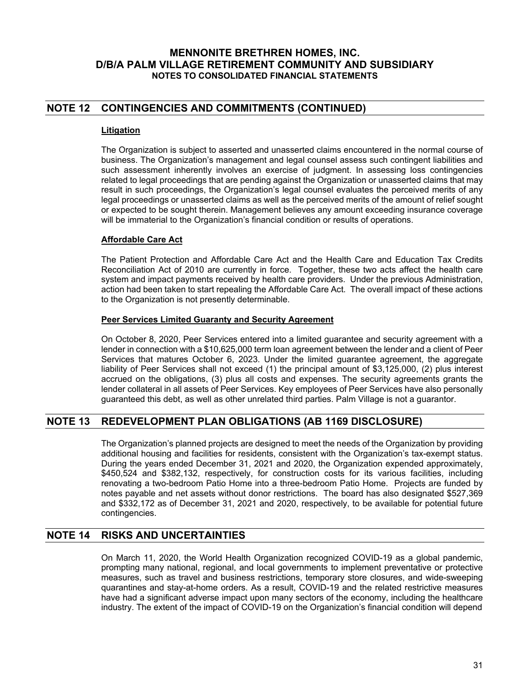# **NOTE 12 CONTINGENCIES AND COMMITMENTS (CONTINUED)**

#### **Litigation**

The Organization is subject to asserted and unasserted claims encountered in the normal course of business. The Organization's management and legal counsel assess such contingent liabilities and such assessment inherently involves an exercise of judgment. In assessing loss contingencies related to legal proceedings that are pending against the Organization or unasserted claims that may result in such proceedings, the Organization's legal counsel evaluates the perceived merits of any legal proceedings or unasserted claims as well as the perceived merits of the amount of relief sought or expected to be sought therein. Management believes any amount exceeding insurance coverage will be immaterial to the Organization's financial condition or results of operations.

#### **Affordable Care Act**

The Patient Protection and Affordable Care Act and the Health Care and Education Tax Credits Reconciliation Act of 2010 are currently in force. Together, these two acts affect the health care system and impact payments received by health care providers. Under the previous Administration, action had been taken to start repealing the Affordable Care Act. The overall impact of these actions to the Organization is not presently determinable.

#### **Peer Services Limited Guaranty and Security Agreement**

On October 8, 2020, Peer Services entered into a limited guarantee and security agreement with a lender in connection with a \$10,625,000 term loan agreement between the lender and a client of Peer Services that matures October 6, 2023. Under the limited guarantee agreement, the aggregate liability of Peer Services shall not exceed (1) the principal amount of \$3,125,000, (2) plus interest accrued on the obligations, (3) plus all costs and expenses. The security agreements grants the lender collateral in all assets of Peer Services. Key employees of Peer Services have also personally guaranteed this debt, as well as other unrelated third parties. Palm Village is not a guarantor.

# **NOTE 13 REDEVELOPMENT PLAN OBLIGATIONS (AB 1169 DISCLOSURE)**

The Organization's planned projects are designed to meet the needs of the Organization by providing additional housing and facilities for residents, consistent with the Organization's tax-exempt status. During the years ended December 31, 2021 and 2020, the Organization expended approximately, \$450,524 and \$382,132, respectively, for construction costs for its various facilities, including renovating a two-bedroom Patio Home into a three-bedroom Patio Home. Projects are funded by notes payable and net assets without donor restrictions. The board has also designated \$527,369 and \$332,172 as of December 31, 2021 and 2020, respectively, to be available for potential future contingencies.

## **NOTE 14 RISKS AND UNCERTAINTIES**

On March 11, 2020, the World Health Organization recognized COVID-19 as a global pandemic, prompting many national, regional, and local governments to implement preventative or protective measures, such as travel and business restrictions, temporary store closures, and wide-sweeping quarantines and stay-at-home orders. As a result, COVID-19 and the related restrictive measures have had a significant adverse impact upon many sectors of the economy, including the healthcare industry. The extent of the impact of COVID-19 on the Organization's financial condition will depend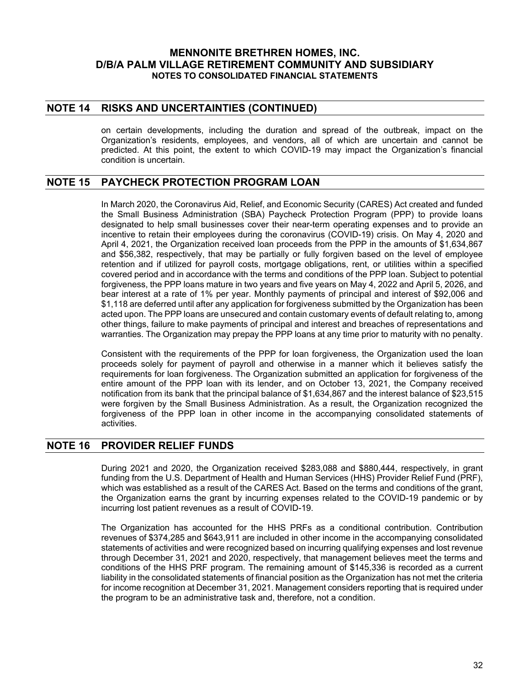### **NOTE 14 RISKS AND UNCERTAINTIES (CONTINUED)**

on certain developments, including the duration and spread of the outbreak, impact on the Organization's residents, employees, and vendors, all of which are uncertain and cannot be predicted. At this point, the extent to which COVID-19 may impact the Organization's financial condition is uncertain.

## **NOTE 15 PAYCHECK PROTECTION PROGRAM LOAN**

In March 2020, the Coronavirus Aid, Relief, and Economic Security (CARES) Act created and funded the Small Business Administration (SBA) Paycheck Protection Program (PPP) to provide loans designated to help small businesses cover their near-term operating expenses and to provide an incentive to retain their employees during the coronavirus (COVID-19) crisis. On May 4, 2020 and April 4, 2021, the Organization received loan proceeds from the PPP in the amounts of \$1,634,867 and \$56,382, respectively, that may be partially or fully forgiven based on the level of employee retention and if utilized for payroll costs, mortgage obligations, rent, or utilities within a specified covered period and in accordance with the terms and conditions of the PPP loan. Subject to potential forgiveness, the PPP loans mature in two years and five years on May 4, 2022 and April 5, 2026, and bear interest at a rate of 1% per year. Monthly payments of principal and interest of \$92,006 and \$1,118 are deferred until after any application for forgiveness submitted by the Organization has been acted upon. The PPP loans are unsecured and contain customary events of default relating to, among other things, failure to make payments of principal and interest and breaches of representations and warranties. The Organization may prepay the PPP loans at any time prior to maturity with no penalty.

Consistent with the requirements of the PPP for loan forgiveness, the Organization used the loan proceeds solely for payment of payroll and otherwise in a manner which it believes satisfy the requirements for loan forgiveness. The Organization submitted an application for forgiveness of the entire amount of the PPP loan with its lender, and on October 13, 2021, the Company received notification from its bank that the principal balance of \$1,634,867 and the interest balance of \$23,515 were forgiven by the Small Business Administration. As a result, the Organization recognized the forgiveness of the PPP loan in other income in the accompanying consolidated statements of activities.

## **NOTE 16 PROVIDER RELIEF FUNDS**

During 2021 and 2020, the Organization received \$283,088 and \$880,444, respectively, in grant funding from the U.S. Department of Health and Human Services (HHS) Provider Relief Fund (PRF), which was established as a result of the CARES Act. Based on the terms and conditions of the grant, the Organization earns the grant by incurring expenses related to the COVID-19 pandemic or by incurring lost patient revenues as a result of COVID-19.

The Organization has accounted for the HHS PRFs as a conditional contribution. Contribution revenues of \$374,285 and \$643,911 are included in other income in the accompanying consolidated statements of activities and were recognized based on incurring qualifying expenses and lost revenue through December 31, 2021 and 2020, respectively, that management believes meet the terms and conditions of the HHS PRF program. The remaining amount of \$145,336 is recorded as a current liability in the consolidated statements of financial position as the Organization has not met the criteria for income recognition at December 31, 2021. Management considers reporting that is required under the program to be an administrative task and, therefore, not a condition.